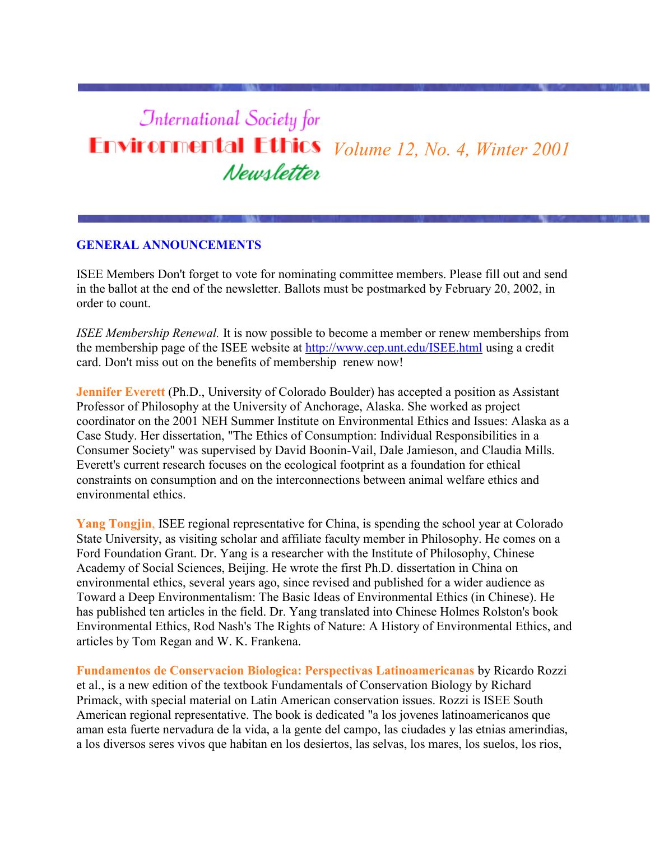# **International Society for Environmental Ethics** *Volume 12, No. 4, Winter 2001* Newsletter

## **GENERAL ANNOUNCEMENTS**

ISEE Members Don't forget to vote for nominating committee members. Please fill out and send in the ballot at the end of the newsletter. Ballots must be postmarked by February 20, 2002, in order to count.

*ISEE Membership Renewal.* It is now possible to become a member or renew memberships from the membership page of the ISEE website at<http://www.cep.unt.edu/ISEE.html> using a credit card. Don't miss out on the benefits of membership renew now!

**Jennifer Everett** (Ph.D., University of Colorado Boulder) has accepted a position as Assistant Professor of Philosophy at the University of Anchorage, Alaska. She worked as project coordinator on the 2001 NEH Summer Institute on Environmental Ethics and Issues: Alaska as a Case Study. Her dissertation, "The Ethics of Consumption: Individual Responsibilities in a Consumer Society" was supervised by David Boonin-Vail, Dale Jamieson, and Claudia Mills. Everett's current research focuses on the ecological footprint as a foundation for ethical constraints on consumption and on the interconnections between animal welfare ethics and environmental ethics.

**Yang Tongjin**, ISEE regional representative for China, is spending the school year at Colorado State University, as visiting scholar and affiliate faculty member in Philosophy. He comes on a Ford Foundation Grant. Dr. Yang is a researcher with the Institute of Philosophy, Chinese Academy of Social Sciences, Beijing. He wrote the first Ph.D. dissertation in China on environmental ethics, several years ago, since revised and published for a wider audience as Toward a Deep Environmentalism: The Basic Ideas of Environmental Ethics (in Chinese). He has published ten articles in the field. Dr. Yang translated into Chinese Holmes Rolston's book Environmental Ethics, Rod Nash's The Rights of Nature: A History of Environmental Ethics, and articles by Tom Regan and W. K. Frankena.

**Fundamentos de Conservacion Biologica: Perspectivas Latinoamericanas** by Ricardo Rozzi et al., is a new edition of the textbook Fundamentals of Conservation Biology by Richard Primack, with special material on Latin American conservation issues. Rozzi is ISEE South American regional representative. The book is dedicated "a los jovenes latinoamericanos que aman esta fuerte nervadura de la vida, a la gente del campo, las ciudades y las etnias amerindias, a los diversos seres vivos que habitan en los desiertos, las selvas, los mares, los suelos, los rios,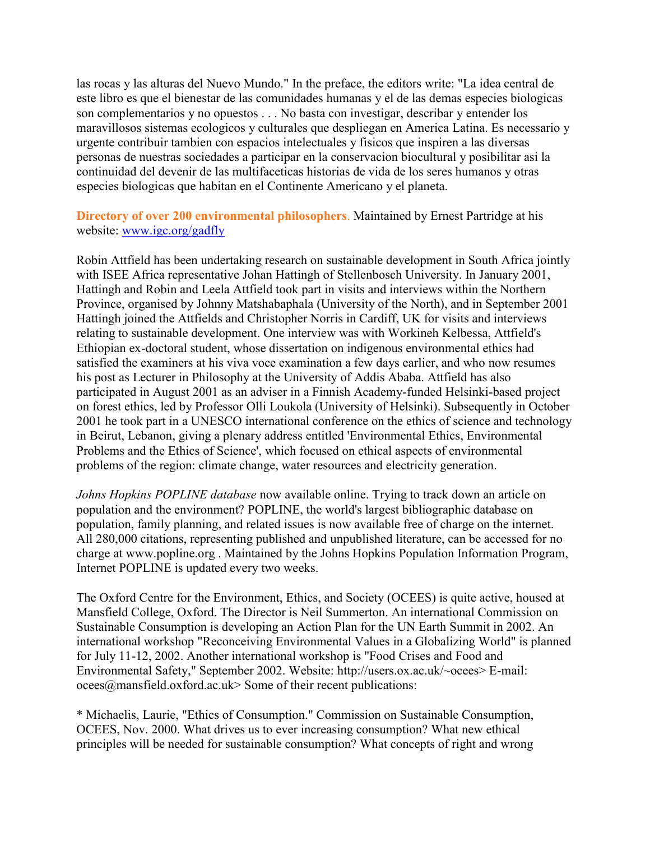las rocas y las alturas del Nuevo Mundo." In the preface, the editors write: "La idea central de este libro es que el bienestar de las comunidades humanas y el de las demas especies biologicas son complementarios y no opuestos . . . No basta con investigar, describar y entender los maravillosos sistemas ecologicos y culturales que despliegan en America Latina. Es necessario y urgente contribuir tambien con espacios intelectuales y fisicos que inspiren a las diversas personas de nuestras sociedades a participar en la conservacion biocultural y posibilitar asi la continuidad del devenir de las multifaceticas historias de vida de los seres humanos y otras especies biologicas que habitan en el Continente Americano y el planeta.

**Directory of over 200 environmental philosophers**. Maintained by Ernest Partridge at his website: [www.igc.org/gadfly](http://www.igc.org/gadfly)

Robin Attfield has been undertaking research on sustainable development in South Africa jointly with ISEE Africa representative Johan Hattingh of Stellenbosch University. In January 2001, Hattingh and Robin and Leela Attfield took part in visits and interviews within the Northern Province, organised by Johnny Matshabaphala (University of the North), and in September 2001 Hattingh joined the Attfields and Christopher Norris in Cardiff, UK for visits and interviews relating to sustainable development. One interview was with Workineh Kelbessa, Attfield's Ethiopian ex-doctoral student, whose dissertation on indigenous environmental ethics had satisfied the examiners at his viva voce examination a few days earlier, and who now resumes his post as Lecturer in Philosophy at the University of Addis Ababa. Attfield has also participated in August 2001 as an adviser in a Finnish Academy-funded Helsinki-based project on forest ethics, led by Professor Olli Loukola (University of Helsinki). Subsequently in October 2001 he took part in a UNESCO international conference on the ethics of science and technology in Beirut, Lebanon, giving a plenary address entitled 'Environmental Ethics, Environmental Problems and the Ethics of Science', which focused on ethical aspects of environmental problems of the region: climate change, water resources and electricity generation.

*Johns Hopkins POPLINE database* now available online. Trying to track down an article on population and the environment? POPLINE, the world's largest bibliographic database on population, family planning, and related issues is now available free of charge on the internet. All 280,000 citations, representing published and unpublished literature, can be accessed for no charge at www.popline.org . Maintained by the Johns Hopkins Population Information Program, Internet POPLINE is updated every two weeks.

The Oxford Centre for the Environment, Ethics, and Society (OCEES) is quite active, housed at Mansfield College, Oxford. The Director is Neil Summerton. An international Commission on Sustainable Consumption is developing an Action Plan for the UN Earth Summit in 2002. An international workshop "Reconceiving Environmental Values in a Globalizing World" is planned for July 11-12, 2002. Another international workshop is "Food Crises and Food and Environmental Safety," September 2002. Website: http://users.ox.ac.uk/~ocees> E-mail: ocees@mansfield.oxford.ac.uk> Some of their recent publications:

\* Michaelis, Laurie, "Ethics of Consumption." Commission on Sustainable Consumption, OCEES, Nov. 2000. What drives us to ever increasing consumption? What new ethical principles will be needed for sustainable consumption? What concepts of right and wrong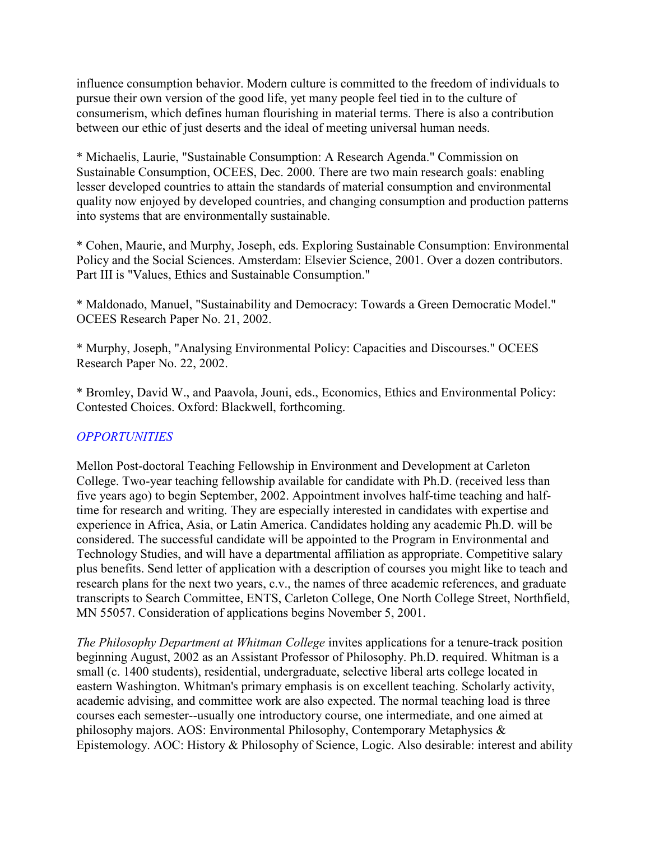influence consumption behavior. Modern culture is committed to the freedom of individuals to pursue their own version of the good life, yet many people feel tied in to the culture of consumerism, which defines human flourishing in material terms. There is also a contribution between our ethic of just deserts and the ideal of meeting universal human needs.

\* Michaelis, Laurie, "Sustainable Consumption: A Research Agenda." Commission on Sustainable Consumption, OCEES, Dec. 2000. There are two main research goals: enabling lesser developed countries to attain the standards of material consumption and environmental quality now enjoyed by developed countries, and changing consumption and production patterns into systems that are environmentally sustainable.

\* Cohen, Maurie, and Murphy, Joseph, eds. Exploring Sustainable Consumption: Environmental Policy and the Social Sciences. Amsterdam: Elsevier Science, 2001. Over a dozen contributors. Part III is "Values, Ethics and Sustainable Consumption."

\* Maldonado, Manuel, "Sustainability and Democracy: Towards a Green Democratic Model." OCEES Research Paper No. 21, 2002.

\* Murphy, Joseph, "Analysing Environmental Policy: Capacities and Discourses." OCEES Research Paper No. 22, 2002.

\* Bromley, David W., and Paavola, Jouni, eds., Economics, Ethics and Environmental Policy: Contested Choices. Oxford: Blackwell, forthcoming.

# *OPPORTUNITIES*

Mellon Post-doctoral Teaching Fellowship in Environment and Development at Carleton College. Two-year teaching fellowship available for candidate with Ph.D. (received less than five years ago) to begin September, 2002. Appointment involves half-time teaching and halftime for research and writing. They are especially interested in candidates with expertise and experience in Africa, Asia, or Latin America. Candidates holding any academic Ph.D. will be considered. The successful candidate will be appointed to the Program in Environmental and Technology Studies, and will have a departmental affiliation as appropriate. Competitive salary plus benefits. Send letter of application with a description of courses you might like to teach and research plans for the next two years, c.v., the names of three academic references, and graduate transcripts to Search Committee, ENTS, Carleton College, One North College Street, Northfield, MN 55057. Consideration of applications begins November 5, 2001.

*The Philosophy Department at Whitman College* invites applications for a tenure-track position beginning August, 2002 as an Assistant Professor of Philosophy. Ph.D. required. Whitman is a small (c. 1400 students), residential, undergraduate, selective liberal arts college located in eastern Washington. Whitman's primary emphasis is on excellent teaching. Scholarly activity, academic advising, and committee work are also expected. The normal teaching load is three courses each semester--usually one introductory course, one intermediate, and one aimed at philosophy majors. AOS: Environmental Philosophy, Contemporary Metaphysics & Epistemology. AOC: History & Philosophy of Science, Logic. Also desirable: interest and ability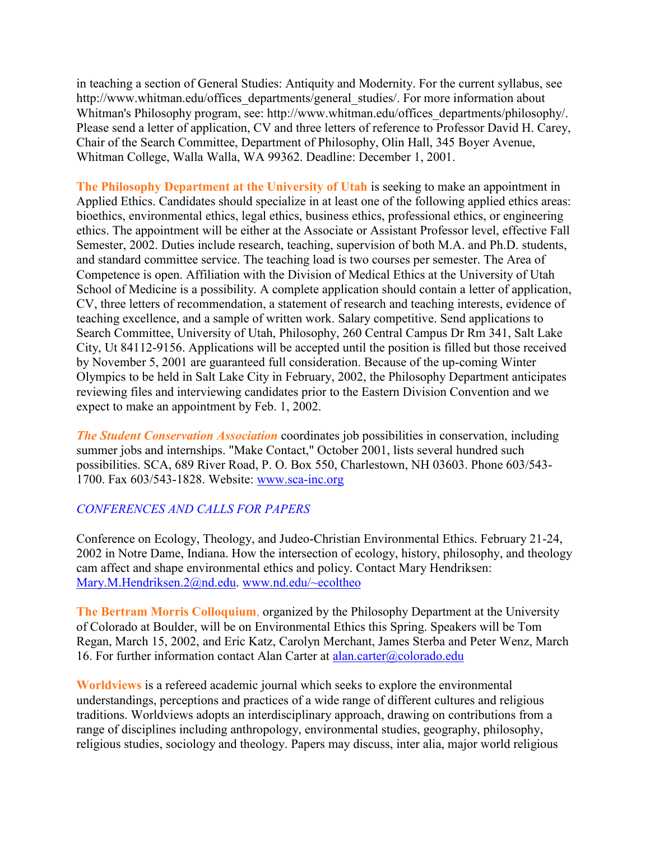in teaching a section of General Studies: Antiquity and Modernity. For the current syllabus, see http://www.whitman.edu/offices\_departments/general\_studies/. For more information about Whitman's Philosophy program, see: http://www.whitman.edu/offices\_departments/philosophy/. Please send a letter of application, CV and three letters of reference to Professor David H. Carey, Chair of the Search Committee, Department of Philosophy, Olin Hall, 345 Boyer Avenue, Whitman College, Walla Walla, WA 99362. Deadline: December 1, 2001.

**The Philosophy Department at the University of Utah** is seeking to make an appointment in Applied Ethics. Candidates should specialize in at least one of the following applied ethics areas: bioethics, environmental ethics, legal ethics, business ethics, professional ethics, or engineering ethics. The appointment will be either at the Associate or Assistant Professor level, effective Fall Semester, 2002. Duties include research, teaching, supervision of both M.A. and Ph.D. students, and standard committee service. The teaching load is two courses per semester. The Area of Competence is open. Affiliation with the Division of Medical Ethics at the University of Utah School of Medicine is a possibility. A complete application should contain a letter of application, CV, three letters of recommendation, a statement of research and teaching interests, evidence of teaching excellence, and a sample of written work. Salary competitive. Send applications to Search Committee, University of Utah, Philosophy, 260 Central Campus Dr Rm 341, Salt Lake City, Ut 84112-9156. Applications will be accepted until the position is filled but those received by November 5, 2001 are guaranteed full consideration. Because of the up-coming Winter Olympics to be held in Salt Lake City in February, 2002, the Philosophy Department anticipates reviewing files and interviewing candidates prior to the Eastern Division Convention and we expect to make an appointment by Feb. 1, 2002.

*The Student Conservation Association* coordinates job possibilities in conservation, including summer jobs and internships. "Make Contact," October 2001, lists several hundred such possibilities. SCA, 689 River Road, P. O. Box 550, Charlestown, NH 03603. Phone 603/543- 1700. Fax 603/543-1828. Website: [www.sca-inc.org](http://www.sca-inc.org/)

## *CONFERENCES AND CALLS FOR PAPERS*

Conference on Ecology, Theology, and Judeo-Christian Environmental Ethics. February 21-24, 2002 in Notre Dame, Indiana. How the intersection of ecology, history, philosophy, and theology cam affect and shape environmental ethics and policy. Contact Mary Hendriksen: [Mary.M.Hendriksen.2@nd.edu.](mailto:Mary.M.Hendriksen.2@nd.edu) [www.nd.edu/~ecoltheo](http://www.nd.edu/~ecoltheo)

**The Bertram Morris Colloquium**, organized by the Philosophy Department at the University of Colorado at Boulder, will be on Environmental Ethics this Spring. Speakers will be Tom Regan, March 15, 2002, and Eric Katz, Carolyn Merchant, James Sterba and Peter Wenz, March 16. For further information contact Alan Carter at [alan.carter@colorado.edu](mailto:alan.carter@colorado.edu)

**Worldviews** is a refereed academic journal which seeks to explore the environmental understandings, perceptions and practices of a wide range of different cultures and religious traditions. Worldviews adopts an interdisciplinary approach, drawing on contributions from a range of disciplines including anthropology, environmental studies, geography, philosophy, religious studies, sociology and theology. Papers may discuss, inter alia, major world religious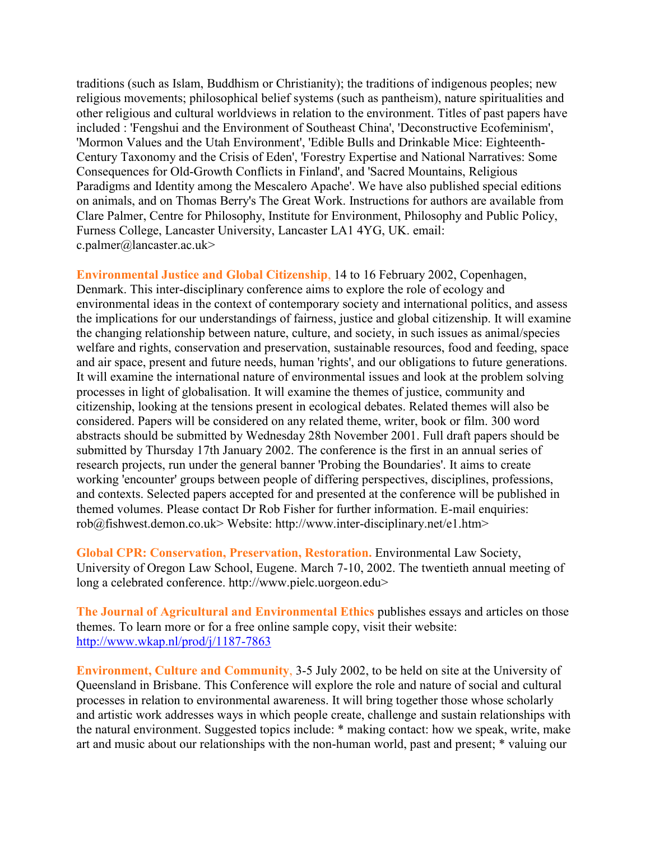traditions (such as Islam, Buddhism or Christianity); the traditions of indigenous peoples; new religious movements; philosophical belief systems (such as pantheism), nature spiritualities and other religious and cultural worldviews in relation to the environment. Titles of past papers have included : 'Fengshui and the Environment of Southeast China', 'Deconstructive Ecofeminism', 'Mormon Values and the Utah Environment', 'Edible Bulls and Drinkable Mice: Eighteenth-Century Taxonomy and the Crisis of Eden', 'Forestry Expertise and National Narratives: Some Consequences for Old-Growth Conflicts in Finland', and 'Sacred Mountains, Religious Paradigms and Identity among the Mescalero Apache'. We have also published special editions on animals, and on Thomas Berry's The Great Work. Instructions for authors are available from Clare Palmer, Centre for Philosophy, Institute for Environment, Philosophy and Public Policy, Furness College, Lancaster University, Lancaster LA1 4YG, UK. email: c.palmer@lancaster.ac.uk>

**Environmental Justice and Global Citizenship**, 14 to 16 February 2002, Copenhagen, Denmark. This inter-disciplinary conference aims to explore the role of ecology and environmental ideas in the context of contemporary society and international politics, and assess the implications for our understandings of fairness, justice and global citizenship. It will examine the changing relationship between nature, culture, and society, in such issues as animal/species welfare and rights, conservation and preservation, sustainable resources, food and feeding, space and air space, present and future needs, human 'rights', and our obligations to future generations. It will examine the international nature of environmental issues and look at the problem solving processes in light of globalisation. It will examine the themes of justice, community and citizenship, looking at the tensions present in ecological debates. Related themes will also be considered. Papers will be considered on any related theme, writer, book or film. 300 word abstracts should be submitted by Wednesday 28th November 2001. Full draft papers should be submitted by Thursday 17th January 2002. The conference is the first in an annual series of research projects, run under the general banner 'Probing the Boundaries'. It aims to create working 'encounter' groups between people of differing perspectives, disciplines, professions, and contexts. Selected papers accepted for and presented at the conference will be published in themed volumes. Please contact Dr Rob Fisher for further information. E-mail enquiries: rob@fishwest.demon.co.uk> Website: http://www.inter-disciplinary.net/e1.htm>

**Global CPR: Conservation, Preservation, Restoration.** Environmental Law Society, University of Oregon Law School, Eugene. March 7-10, 2002. The twentieth annual meeting of long a celebrated conference. http://www.pielc.uorgeon.edu>

**The Journal of Agricultural and Environmental Ethics** publishes essays and articles on those themes. To learn more or for a free online sample copy, visit their website: <http://www.wkap.nl/prod/j/1187-7863>

**Environment, Culture and Community**, 3-5 July 2002, to be held on site at the University of Queensland in Brisbane. This Conference will explore the role and nature of social and cultural processes in relation to environmental awareness. It will bring together those whose scholarly and artistic work addresses ways in which people create, challenge and sustain relationships with the natural environment. Suggested topics include: \* making contact: how we speak, write, make art and music about our relationships with the non-human world, past and present; \* valuing our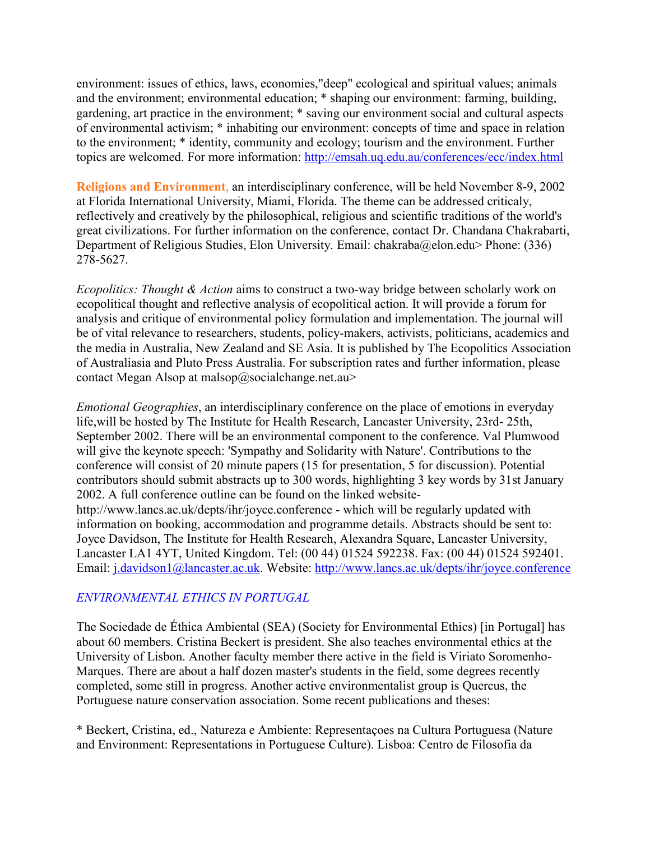environment: issues of ethics, laws, economies,"deep" ecological and spiritual values; animals and the environment; environmental education; \* shaping our environment: farming, building, gardening, art practice in the environment; \* saving our environment social and cultural aspects of environmental activism; \* inhabiting our environment: concepts of time and space in relation to the environment; \* identity, community and ecology; tourism and the environment. Further topics are welcomed. For more information:<http://emsah.uq.edu.au/conferences/ecc/index.html>

**Religions and Environment**, an interdisciplinary conference, will be held November 8-9, 2002 at Florida International University, Miami, Florida. The theme can be addressed criticaly, reflectively and creatively by the philosophical, religious and scientific traditions of the world's great civilizations. For further information on the conference, contact Dr. Chandana Chakrabarti, Department of Religious Studies, Elon University. Email: chakraba@elon.edu> Phone: (336) 278-5627.

*Ecopolitics: Thought & Action* aims to construct a two-way bridge between scholarly work on ecopolitical thought and reflective analysis of ecopolitical action. It will provide a forum for analysis and critique of environmental policy formulation and implementation. The journal will be of vital relevance to researchers, students, policy-makers, activists, politicians, academics and the media in Australia, New Zealand and SE Asia. It is published by The Ecopolitics Association of Australiasia and Pluto Press Australia. For subscription rates and further information, please contact Megan Alsop at malsop@socialchange.net.au>

*Emotional Geographies*, an interdisciplinary conference on the place of emotions in everyday life,will be hosted by The Institute for Health Research, Lancaster University, 23rd- 25th, September 2002. There will be an environmental component to the conference. Val Plumwood will give the keynote speech: 'Sympathy and Solidarity with Nature'. Contributions to the conference will consist of 20 minute papers (15 for presentation, 5 for discussion). Potential contributors should submit abstracts up to 300 words, highlighting 3 key words by 31st January 2002. A full conference outline can be found on the linked websitehttp://www.lancs.ac.uk/depts/ihr/joyce.conference - which will be regularly updated with information on booking, accommodation and programme details. Abstracts should be sent to: Joyce Davidson, The Institute for Health Research, Alexandra Square, Lancaster University, Lancaster LA1 4YT, United Kingdom. Tel: (00 44) 01524 592238. Fax: (00 44) 01524 592401. Email: [j.davidson1@lancaster.ac.uk.](mailto:j.davidson1@lancaster.ac.uk) Website:<http://www.lancs.ac.uk/depts/ihr/joyce.conference>

## *ENVIRONMENTAL ETHICS IN PORTUGAL*

The Sociedade de Éthica Ambiental (SEA) (Society for Environmental Ethics) [in Portugal] has about 60 members. Cristina Beckert is president. She also teaches environmental ethics at the University of Lisbon. Another faculty member there active in the field is Viriato Soromenho-Marques. There are about a half dozen master's students in the field, some degrees recently completed, some still in progress. Another active environmentalist group is Quercus, the Portuguese nature conservation association. Some recent publications and theses:

\* Beckert, Cristina, ed., Natureza e Ambiente: Representaçoes na Cultura Portuguesa (Nature and Environment: Representations in Portuguese Culture). Lisboa: Centro de Filosofia da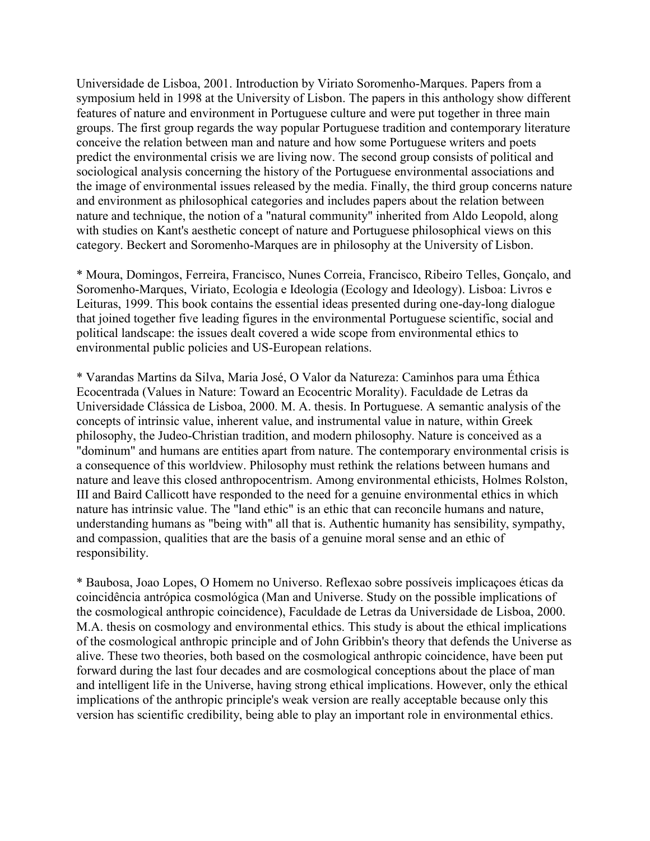Universidade de Lisboa, 2001. Introduction by Viriato Soromenho-Marques. Papers from a symposium held in 1998 at the University of Lisbon. The papers in this anthology show different features of nature and environment in Portuguese culture and were put together in three main groups. The first group regards the way popular Portuguese tradition and contemporary literature conceive the relation between man and nature and how some Portuguese writers and poets predict the environmental crisis we are living now. The second group consists of political and sociological analysis concerning the history of the Portuguese environmental associations and the image of environmental issues released by the media. Finally, the third group concerns nature and environment as philosophical categories and includes papers about the relation between nature and technique, the notion of a "natural community" inherited from Aldo Leopold, along with studies on Kant's aesthetic concept of nature and Portuguese philosophical views on this category. Beckert and Soromenho-Marques are in philosophy at the University of Lisbon.

\* Moura, Domingos, Ferreira, Francisco, Nunes Correia, Francisco, Ribeiro Telles, Gonçalo, and Soromenho-Marques, Viriato, Ecologia e Ideologia (Ecology and Ideology). Lisboa: Livros e Leituras, 1999. This book contains the essential ideas presented during one-day-long dialogue that joined together five leading figures in the environmental Portuguese scientific, social and political landscape: the issues dealt covered a wide scope from environmental ethics to environmental public policies and US-European relations.

\* Varandas Martins da Silva, Maria José, O Valor da Natureza: Caminhos para uma Éthica Ecocentrada (Values in Nature: Toward an Ecocentric Morality). Faculdade de Letras da Universidade Clássica de Lisboa, 2000. M. A. thesis. In Portuguese. A semantic analysis of the concepts of intrinsic value, inherent value, and instrumental value in nature, within Greek philosophy, the Judeo-Christian tradition, and modern philosophy. Nature is conceived as a "dominum" and humans are entities apart from nature. The contemporary environmental crisis is a consequence of this worldview. Philosophy must rethink the relations between humans and nature and leave this closed anthropocentrism. Among environmental ethicists, Holmes Rolston, III and Baird Callicott have responded to the need for a genuine environmental ethics in which nature has intrinsic value. The "land ethic" is an ethic that can reconcile humans and nature, understanding humans as "being with" all that is. Authentic humanity has sensibility, sympathy, and compassion, qualities that are the basis of a genuine moral sense and an ethic of responsibility.

\* Baubosa, Joao Lopes, O Homem no Universo. Reflexao sobre possíveis implicaçoes éticas da coincidência antrópica cosmológica (Man and Universe. Study on the possible implications of the cosmological anthropic coincidence), Faculdade de Letras da Universidade de Lisboa, 2000. M.A. thesis on cosmology and environmental ethics. This study is about the ethical implications of the cosmological anthropic principle and of John Gribbin's theory that defends the Universe as alive. These two theories, both based on the cosmological anthropic coincidence, have been put forward during the last four decades and are cosmological conceptions about the place of man and intelligent life in the Universe, having strong ethical implications. However, only the ethical implications of the anthropic principle's weak version are really acceptable because only this version has scientific credibility, being able to play an important role in environmental ethics.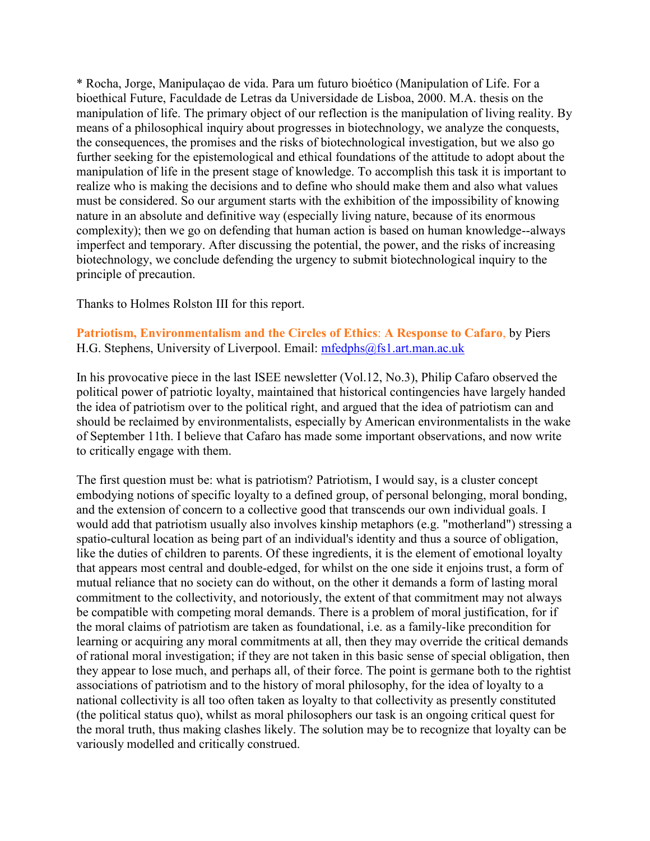\* Rocha, Jorge, Manipulaçao de vida. Para um futuro bioético (Manipulation of Life. For a bioethical Future, Faculdade de Letras da Universidade de Lisboa, 2000. M.A. thesis on the manipulation of life. The primary object of our reflection is the manipulation of living reality. By means of a philosophical inquiry about progresses in biotechnology, we analyze the conquests, the consequences, the promises and the risks of biotechnological investigation, but we also go further seeking for the epistemological and ethical foundations of the attitude to adopt about the manipulation of life in the present stage of knowledge. To accomplish this task it is important to realize who is making the decisions and to define who should make them and also what values must be considered. So our argument starts with the exhibition of the impossibility of knowing nature in an absolute and definitive way (especially living nature, because of its enormous complexity); then we go on defending that human action is based on human knowledge--always imperfect and temporary. After discussing the potential, the power, and the risks of increasing biotechnology, we conclude defending the urgency to submit biotechnological inquiry to the principle of precaution.

Thanks to Holmes Rolston III for this report.

## **Patriotism, Environmentalism and the Circles of Ethics**: **A Response to Cafaro**, by Piers H.G. Stephens, University of Liverpool. Email: [mfedphs@fs1.art.man.ac.uk](mailto:mfedphs@fs1.art.man.ac.uk)

In his provocative piece in the last ISEE newsletter (Vol.12, No.3), Philip Cafaro observed the political power of patriotic loyalty, maintained that historical contingencies have largely handed the idea of patriotism over to the political right, and argued that the idea of patriotism can and should be reclaimed by environmentalists, especially by American environmentalists in the wake of September 11th. I believe that Cafaro has made some important observations, and now write to critically engage with them.

The first question must be: what is patriotism? Patriotism, I would say, is a cluster concept embodying notions of specific loyalty to a defined group, of personal belonging, moral bonding, and the extension of concern to a collective good that transcends our own individual goals. I would add that patriotism usually also involves kinship metaphors (e.g. "motherland") stressing a spatio-cultural location as being part of an individual's identity and thus a source of obligation, like the duties of children to parents. Of these ingredients, it is the element of emotional loyalty that appears most central and double-edged, for whilst on the one side it enjoins trust, a form of mutual reliance that no society can do without, on the other it demands a form of lasting moral commitment to the collectivity, and notoriously, the extent of that commitment may not always be compatible with competing moral demands. There is a problem of moral justification, for if the moral claims of patriotism are taken as foundational, i.e. as a family-like precondition for learning or acquiring any moral commitments at all, then they may override the critical demands of rational moral investigation; if they are not taken in this basic sense of special obligation, then they appear to lose much, and perhaps all, of their force. The point is germane both to the rightist associations of patriotism and to the history of moral philosophy, for the idea of loyalty to a national collectivity is all too often taken as loyalty to that collectivity as presently constituted (the political status quo), whilst as moral philosophers our task is an ongoing critical quest for the moral truth, thus making clashes likely. The solution may be to recognize that loyalty can be variously modelled and critically construed.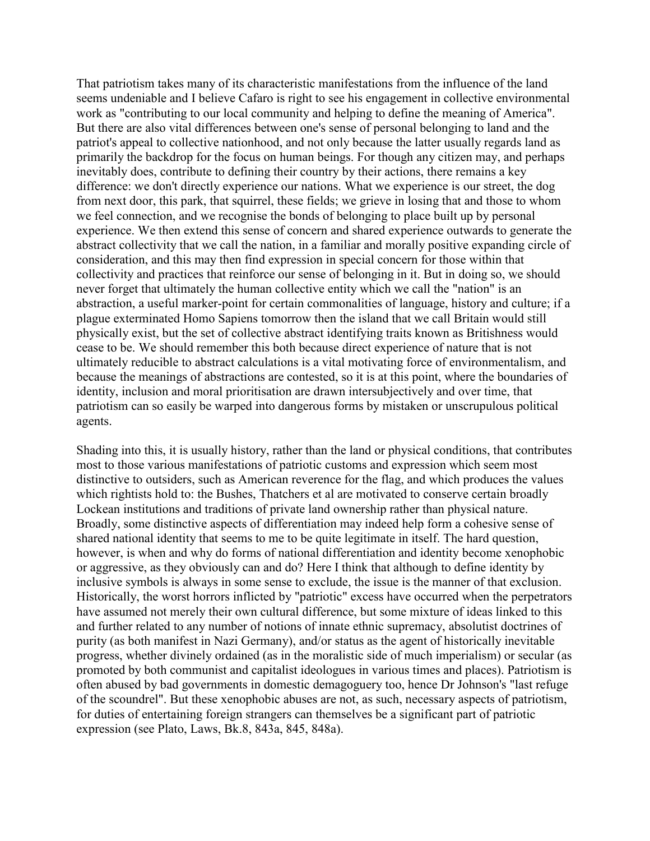That patriotism takes many of its characteristic manifestations from the influence of the land seems undeniable and I believe Cafaro is right to see his engagement in collective environmental work as "contributing to our local community and helping to define the meaning of America". But there are also vital differences between one's sense of personal belonging to land and the patriot's appeal to collective nationhood, and not only because the latter usually regards land as primarily the backdrop for the focus on human beings. For though any citizen may, and perhaps inevitably does, contribute to defining their country by their actions, there remains a key difference: we don't directly experience our nations. What we experience is our street, the dog from next door, this park, that squirrel, these fields; we grieve in losing that and those to whom we feel connection, and we recognise the bonds of belonging to place built up by personal experience. We then extend this sense of concern and shared experience outwards to generate the abstract collectivity that we call the nation, in a familiar and morally positive expanding circle of consideration, and this may then find expression in special concern for those within that collectivity and practices that reinforce our sense of belonging in it. But in doing so, we should never forget that ultimately the human collective entity which we call the "nation" is an abstraction, a useful marker-point for certain commonalities of language, history and culture; if a plague exterminated Homo Sapiens tomorrow then the island that we call Britain would still physically exist, but the set of collective abstract identifying traits known as Britishness would cease to be. We should remember this both because direct experience of nature that is not ultimately reducible to abstract calculations is a vital motivating force of environmentalism, and because the meanings of abstractions are contested, so it is at this point, where the boundaries of identity, inclusion and moral prioritisation are drawn intersubjectively and over time, that patriotism can so easily be warped into dangerous forms by mistaken or unscrupulous political agents.

Shading into this, it is usually history, rather than the land or physical conditions, that contributes most to those various manifestations of patriotic customs and expression which seem most distinctive to outsiders, such as American reverence for the flag, and which produces the values which rightists hold to: the Bushes, Thatchers et al are motivated to conserve certain broadly Lockean institutions and traditions of private land ownership rather than physical nature. Broadly, some distinctive aspects of differentiation may indeed help form a cohesive sense of shared national identity that seems to me to be quite legitimate in itself. The hard question, however, is when and why do forms of national differentiation and identity become xenophobic or aggressive, as they obviously can and do? Here I think that although to define identity by inclusive symbols is always in some sense to exclude, the issue is the manner of that exclusion. Historically, the worst horrors inflicted by "patriotic" excess have occurred when the perpetrators have assumed not merely their own cultural difference, but some mixture of ideas linked to this and further related to any number of notions of innate ethnic supremacy, absolutist doctrines of purity (as both manifest in Nazi Germany), and/or status as the agent of historically inevitable progress, whether divinely ordained (as in the moralistic side of much imperialism) or secular (as promoted by both communist and capitalist ideologues in various times and places). Patriotism is often abused by bad governments in domestic demagoguery too, hence Dr Johnson's "last refuge of the scoundrel". But these xenophobic abuses are not, as such, necessary aspects of patriotism, for duties of entertaining foreign strangers can themselves be a significant part of patriotic expression (see Plato, Laws, Bk.8, 843a, 845, 848a).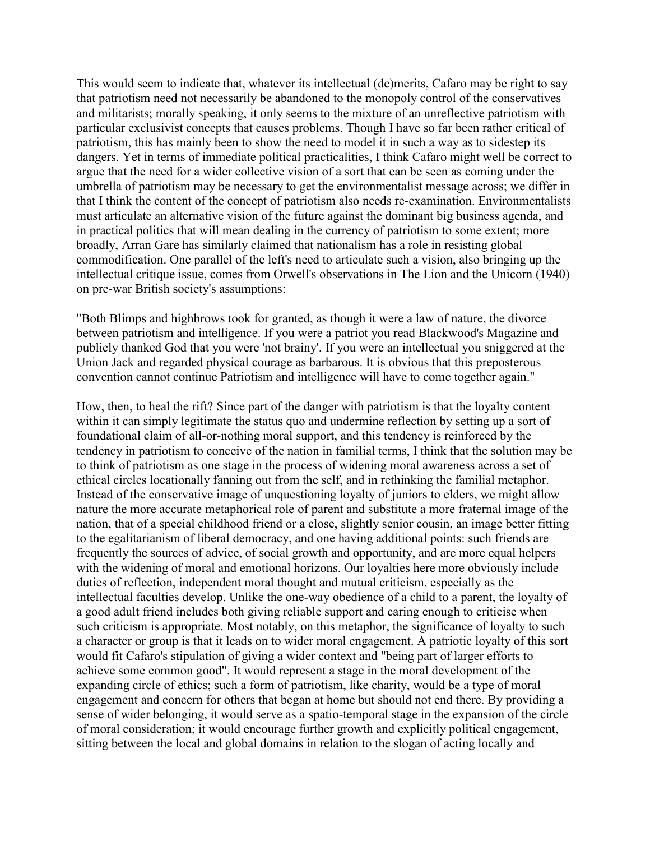This would seem to indicate that, whatever its intellectual (de)merits, Cafaro may be right to say that patriotism need not necessarily be abandoned to the monopoly control of the conservatives and militarists; morally speaking, it only seems to the mixture of an unreflective patriotism with particular exclusivist concepts that causes problems. Though I have so far been rather critical of patriotism, this has mainly been to show the need to model it in such a way as to sidestep its dangers. Yet in terms of immediate political practicalities, I think Cafaro might well be correct to argue that the need for a wider collective vision of a sort that can be seen as coming under the umbrella of patriotism may be necessary to get the environmentalist message across; we differ in that I think the content of the concept of patriotism also needs re-examination. Environmentalists must articulate an alternative vision of the future against the dominant big business agenda, and in practical politics that will mean dealing in the currency of patriotism to some extent; more broadly, Arran Gare has similarly claimed that nationalism has a role in resisting global commodification. One parallel of the left's need to articulate such a vision, also bringing up the intellectual critique issue, comes from Orwell's observations in The Lion and the Unicorn (1940) on pre-war British society's assumptions:

"Both Blimps and highbrows took for granted, as though it were a law of nature, the divorce between patriotism and intelligence. If you were a patriot you read Blackwood's Magazine and publicly thanked God that you were 'not brainy'. If you were an intellectual you sniggered at the Union Jack and regarded physical courage as barbarous. It is obvious that this preposterous convention cannot continue Patriotism and intelligence will have to come together again."

How, then, to heal the rift? Since part of the danger with patriotism is that the loyalty content within it can simply legitimate the status quo and undermine reflection by setting up a sort of foundational claim of all-or-nothing moral support, and this tendency is reinforced by the tendency in patriotism to conceive of the nation in familial terms, I think that the solution may be to think of patriotism as one stage in the process of widening moral awareness across a set of ethical circles locationally fanning out from the self, and in rethinking the familial metaphor. Instead of the conservative image of unquestioning loyalty of juniors to elders, we might allow nature the more accurate metaphorical role of parent and substitute a more fraternal image of the nation, that of a special childhood friend or a close, slightly senior cousin, an image better fitting to the egalitarianism of liberal democracy, and one having additional points: such friends are frequently the sources of advice, of social growth and opportunity, and are more equal helpers with the widening of moral and emotional horizons. Our loyalties here more obviously include duties of reflection, independent moral thought and mutual criticism, especially as the intellectual faculties develop. Unlike the one-way obedience of a child to a parent, the loyalty of a good adult friend includes both giving reliable support and caring enough to criticise when such criticism is appropriate. Most notably, on this metaphor, the significance of loyalty to such a character or group is that it leads on to wider moral engagement. A patriotic loyalty of this sort would fit Cafaro's stipulation of giving a wider context and "being part of larger efforts to achieve some common good". It would represent a stage in the moral development of the expanding circle of ethics; such a form of patriotism, like charity, would be a type of moral engagement and concern for others that began at home but should not end there. By providing a sense of wider belonging, it would serve as a spatio-temporal stage in the expansion of the circle of moral consideration; it would encourage further growth and explicitly political engagement, sitting between the local and global domains in relation to the slogan of acting locally and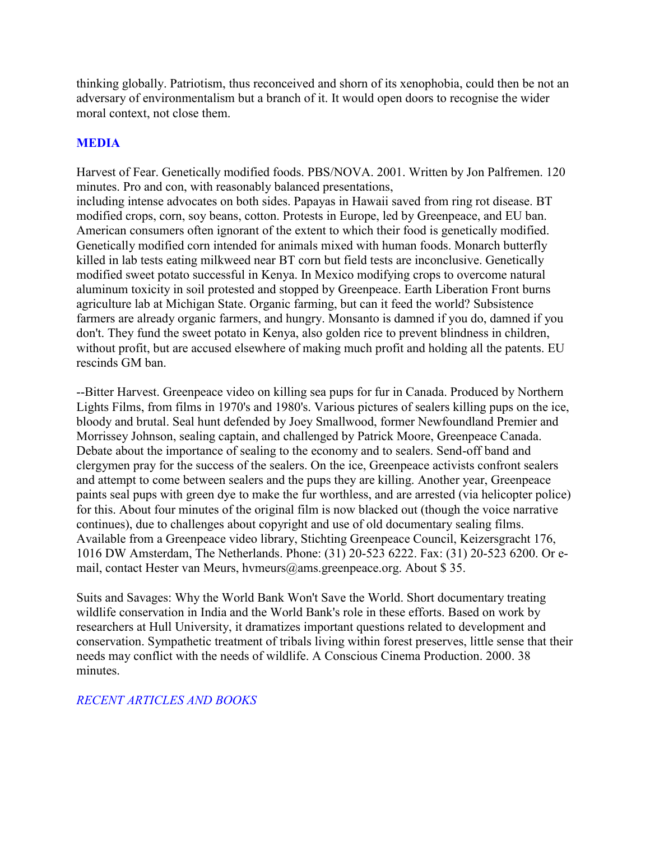thinking globally. Patriotism, thus reconceived and shorn of its xenophobia, could then be not an adversary of environmentalism but a branch of it. It would open doors to recognise the wider moral context, not close them.

# **MEDIA**

Harvest of Fear. Genetically modified foods. PBS/NOVA. 2001. Written by Jon Palfremen. 120 minutes. Pro and con, with reasonably balanced presentations, including intense advocates on both sides. Papayas in Hawaii saved from ring rot disease. BT modified crops, corn, soy beans, cotton. Protests in Europe, led by Greenpeace, and EU ban. American consumers often ignorant of the extent to which their food is genetically modified. Genetically modified corn intended for animals mixed with human foods. Monarch butterfly killed in lab tests eating milkweed near BT corn but field tests are inconclusive. Genetically modified sweet potato successful in Kenya. In Mexico modifying crops to overcome natural aluminum toxicity in soil protested and stopped by Greenpeace. Earth Liberation Front burns agriculture lab at Michigan State. Organic farming, but can it feed the world? Subsistence farmers are already organic farmers, and hungry. Monsanto is damned if you do, damned if you don't. They fund the sweet potato in Kenya, also golden rice to prevent blindness in children, without profit, but are accused elsewhere of making much profit and holding all the patents. EU rescinds GM ban.

--Bitter Harvest. Greenpeace video on killing sea pups for fur in Canada. Produced by Northern Lights Films, from films in 1970's and 1980's. Various pictures of sealers killing pups on the ice, bloody and brutal. Seal hunt defended by Joey Smallwood, former Newfoundland Premier and Morrissey Johnson, sealing captain, and challenged by Patrick Moore, Greenpeace Canada. Debate about the importance of sealing to the economy and to sealers. Send-off band and clergymen pray for the success of the sealers. On the ice, Greenpeace activists confront sealers and attempt to come between sealers and the pups they are killing. Another year, Greenpeace paints seal pups with green dye to make the fur worthless, and are arrested (via helicopter police) for this. About four minutes of the original film is now blacked out (though the voice narrative continues), due to challenges about copyright and use of old documentary sealing films. Available from a Greenpeace video library, Stichting Greenpeace Council, Keizersgracht 176, 1016 DW Amsterdam, The Netherlands. Phone: (31) 20-523 6222. Fax: (31) 20-523 6200. Or email, contact Hester van Meurs, hvmeurs@ams.greenpeace.org. About \$ 35.

Suits and Savages: Why the World Bank Won't Save the World. Short documentary treating wildlife conservation in India and the World Bank's role in these efforts. Based on work by researchers at Hull University, it dramatizes important questions related to development and conservation. Sympathetic treatment of tribals living within forest preserves, little sense that their needs may conflict with the needs of wildlife. A Conscious Cinema Production. 2000. 38 minutes.

# *RECENT ARTICLES AND BOOKS*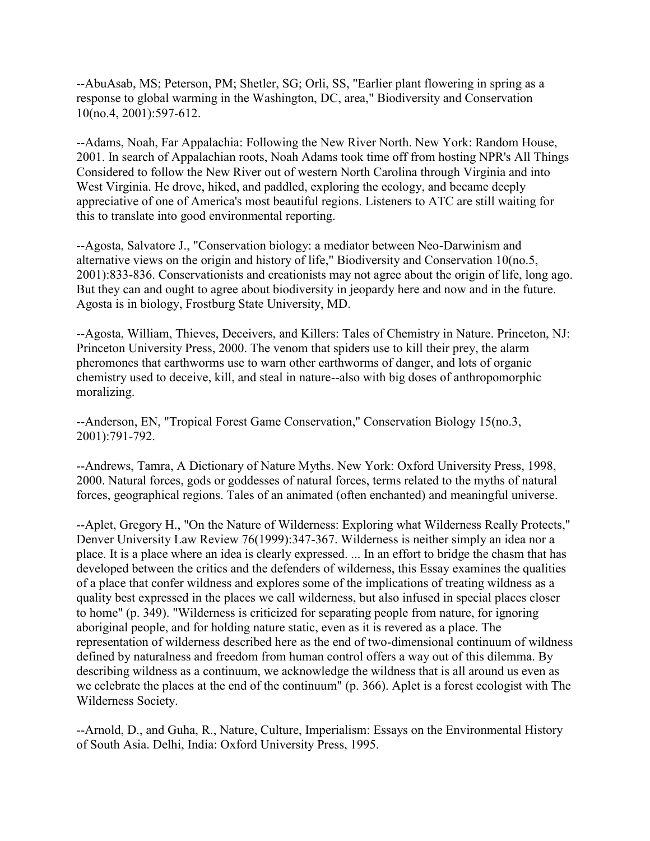--AbuAsab, MS; Peterson, PM; Shetler, SG; Orli, SS, "Earlier plant flowering in spring as a response to global warming in the Washington, DC, area," Biodiversity and Conservation 10(no.4, 2001):597-612.

--Adams, Noah, Far Appalachia: Following the New River North. New York: Random House, 2001. In search of Appalachian roots, Noah Adams took time off from hosting NPR's All Things Considered to follow the New River out of western North Carolina through Virginia and into West Virginia. He drove, hiked, and paddled, exploring the ecology, and became deeply appreciative of one of America's most beautiful regions. Listeners to ATC are still waiting for this to translate into good environmental reporting.

--Agosta, Salvatore J., "Conservation biology: a mediator between Neo-Darwinism and alternative views on the origin and history of life," Biodiversity and Conservation 10(no.5, 2001):833-836. Conservationists and creationists may not agree about the origin of life, long ago. But they can and ought to agree about biodiversity in jeopardy here and now and in the future. Agosta is in biology, Frostburg State University, MD.

--Agosta, William, Thieves, Deceivers, and Killers: Tales of Chemistry in Nature. Princeton, NJ: Princeton University Press, 2000. The venom that spiders use to kill their prey, the alarm pheromones that earthworms use to warn other earthworms of danger, and lots of organic chemistry used to deceive, kill, and steal in nature--also with big doses of anthropomorphic moralizing.

--Anderson, EN, "Tropical Forest Game Conservation," Conservation Biology 15(no.3, 2001):791-792.

--Andrews, Tamra, A Dictionary of Nature Myths. New York: Oxford University Press, 1998, 2000. Natural forces, gods or goddesses of natural forces, terms related to the myths of natural forces, geographical regions. Tales of an animated (often enchanted) and meaningful universe.

--Aplet, Gregory H., "On the Nature of Wilderness: Exploring what Wilderness Really Protects," Denver University Law Review 76(1999):347-367. Wilderness is neither simply an idea nor a place. It is a place where an idea is clearly expressed. ... In an effort to bridge the chasm that has developed between the critics and the defenders of wilderness, this Essay examines the qualities of a place that confer wildness and explores some of the implications of treating wildness as a quality best expressed in the places we call wilderness, but also infused in special places closer to home" (p. 349). "Wilderness is criticized for separating people from nature, for ignoring aboriginal people, and for holding nature static, even as it is revered as a place. The representation of wilderness described here as the end of two-dimensional continuum of wildness defined by naturalness and freedom from human control offers a way out of this dilemma. By describing wildness as a continuum, we acknowledge the wildness that is all around us even as we celebrate the places at the end of the continuum" (p. 366). Aplet is a forest ecologist with The Wilderness Society.

--Arnold, D., and Guha, R., Nature, Culture, Imperialism: Essays on the Environmental History of South Asia. Delhi, India: Oxford University Press, 1995.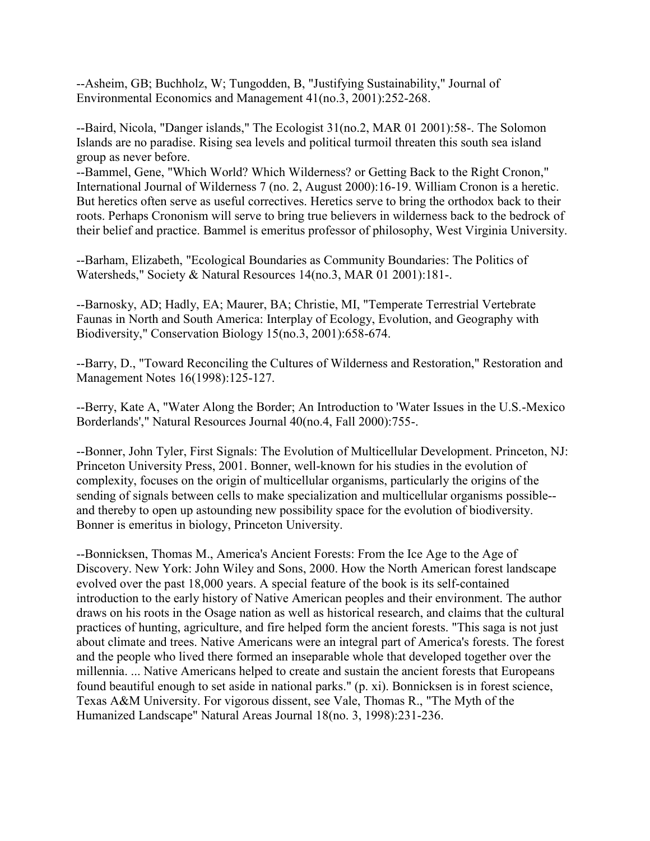--Asheim, GB; Buchholz, W; Tungodden, B, "Justifying Sustainability," Journal of Environmental Economics and Management 41(no.3, 2001):252-268.

--Baird, Nicola, "Danger islands," The Ecologist 31(no.2, MAR 01 2001):58-. The Solomon Islands are no paradise. Rising sea levels and political turmoil threaten this south sea island group as never before.

--Bammel, Gene, "Which World? Which Wilderness? or Getting Back to the Right Cronon," International Journal of Wilderness 7 (no. 2, August 2000):16-19. William Cronon is a heretic. But heretics often serve as useful correctives. Heretics serve to bring the orthodox back to their roots. Perhaps Crononism will serve to bring true believers in wilderness back to the bedrock of their belief and practice. Bammel is emeritus professor of philosophy, West Virginia University.

--Barham, Elizabeth, "Ecological Boundaries as Community Boundaries: The Politics of Watersheds," Society & Natural Resources 14(no.3, MAR 01 2001):181-.

--Barnosky, AD; Hadly, EA; Maurer, BA; Christie, MI, "Temperate Terrestrial Vertebrate Faunas in North and South America: Interplay of Ecology, Evolution, and Geography with Biodiversity," Conservation Biology 15(no.3, 2001):658-674.

--Barry, D., "Toward Reconciling the Cultures of Wilderness and Restoration," Restoration and Management Notes 16(1998):125-127.

--Berry, Kate A, "Water Along the Border; An Introduction to 'Water Issues in the U.S.-Mexico Borderlands'," Natural Resources Journal 40(no.4, Fall 2000):755-.

--Bonner, John Tyler, First Signals: The Evolution of Multicellular Development. Princeton, NJ: Princeton University Press, 2001. Bonner, well-known for his studies in the evolution of complexity, focuses on the origin of multicellular organisms, particularly the origins of the sending of signals between cells to make specialization and multicellular organisms possible- and thereby to open up astounding new possibility space for the evolution of biodiversity. Bonner is emeritus in biology, Princeton University.

--Bonnicksen, Thomas M., America's Ancient Forests: From the Ice Age to the Age of Discovery. New York: John Wiley and Sons, 2000. How the North American forest landscape evolved over the past 18,000 years. A special feature of the book is its self-contained introduction to the early history of Native American peoples and their environment. The author draws on his roots in the Osage nation as well as historical research, and claims that the cultural practices of hunting, agriculture, and fire helped form the ancient forests. "This saga is not just about climate and trees. Native Americans were an integral part of America's forests. The forest and the people who lived there formed an inseparable whole that developed together over the millennia. ... Native Americans helped to create and sustain the ancient forests that Europeans found beautiful enough to set aside in national parks." (p. xi). Bonnicksen is in forest science, Texas A&M University. For vigorous dissent, see Vale, Thomas R., "The Myth of the Humanized Landscape" Natural Areas Journal 18(no. 3, 1998):231-236.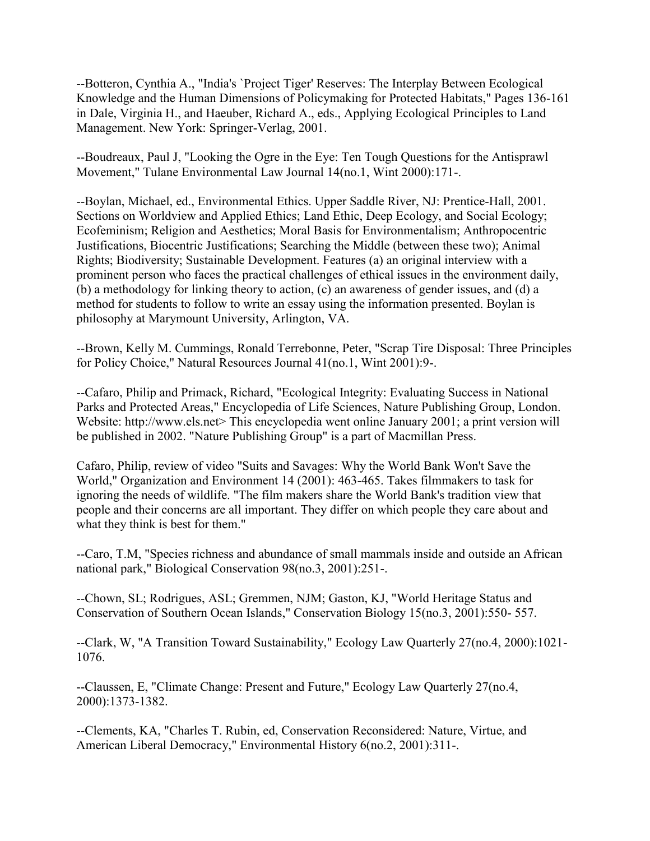--Botteron, Cynthia A., "India's `Project Tiger' Reserves: The Interplay Between Ecological Knowledge and the Human Dimensions of Policymaking for Protected Habitats," Pages 136-161 in Dale, Virginia H., and Haeuber, Richard A., eds., Applying Ecological Principles to Land Management. New York: Springer-Verlag, 2001.

--Boudreaux, Paul J, "Looking the Ogre in the Eye: Ten Tough Questions for the Antisprawl Movement," Tulane Environmental Law Journal 14(no.1, Wint 2000):171-.

--Boylan, Michael, ed., Environmental Ethics. Upper Saddle River, NJ: Prentice-Hall, 2001. Sections on Worldview and Applied Ethics; Land Ethic, Deep Ecology, and Social Ecology; Ecofeminism; Religion and Aesthetics; Moral Basis for Environmentalism; Anthropocentric Justifications, Biocentric Justifications; Searching the Middle (between these two); Animal Rights; Biodiversity; Sustainable Development. Features (a) an original interview with a prominent person who faces the practical challenges of ethical issues in the environment daily, (b) a methodology for linking theory to action, (c) an awareness of gender issues, and (d) a method for students to follow to write an essay using the information presented. Boylan is philosophy at Marymount University, Arlington, VA.

--Brown, Kelly M. Cummings, Ronald Terrebonne, Peter, "Scrap Tire Disposal: Three Principles for Policy Choice," Natural Resources Journal 41(no.1, Wint 2001):9-.

--Cafaro, Philip and Primack, Richard, "Ecological Integrity: Evaluating Success in National Parks and Protected Areas," Encyclopedia of Life Sciences, Nature Publishing Group, London. Website: http://www.els.net> This encyclopedia went online January 2001; a print version will be published in 2002. "Nature Publishing Group" is a part of Macmillan Press.

Cafaro, Philip, review of video "Suits and Savages: Why the World Bank Won't Save the World," Organization and Environment 14 (2001): 463-465. Takes filmmakers to task for ignoring the needs of wildlife. "The film makers share the World Bank's tradition view that people and their concerns are all important. They differ on which people they care about and what they think is best for them."

--Caro, T.M, "Species richness and abundance of small mammals inside and outside an African national park," Biological Conservation 98(no.3, 2001):251-.

--Chown, SL; Rodrigues, ASL; Gremmen, NJM; Gaston, KJ, "World Heritage Status and Conservation of Southern Ocean Islands," Conservation Biology 15(no.3, 2001):550- 557.

--Clark, W, "A Transition Toward Sustainability," Ecology Law Quarterly 27(no.4, 2000):1021- 1076.

--Claussen, E, "Climate Change: Present and Future," Ecology Law Quarterly 27(no.4, 2000):1373-1382.

--Clements, KA, "Charles T. Rubin, ed, Conservation Reconsidered: Nature, Virtue, and American Liberal Democracy," Environmental History 6(no.2, 2001):311-.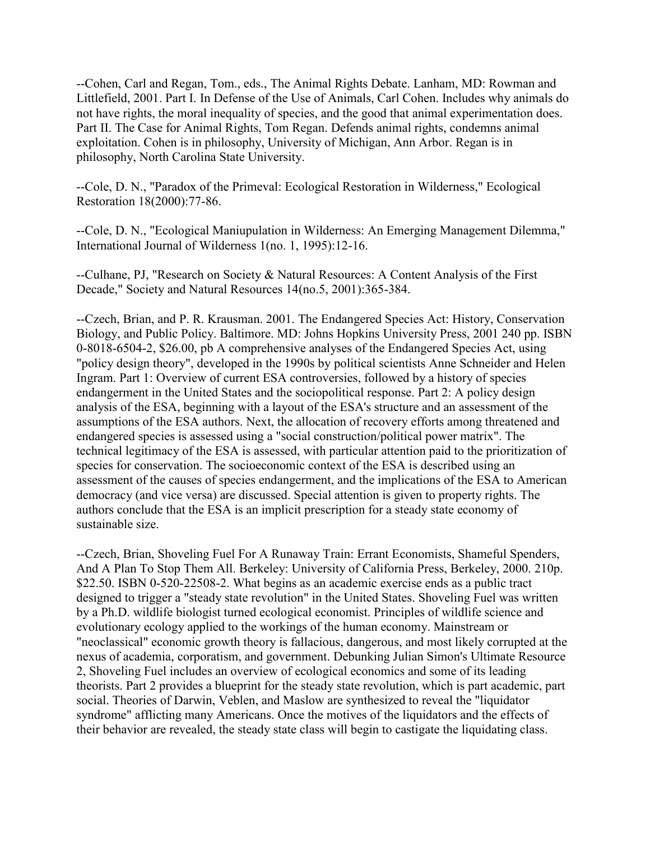--Cohen, Carl and Regan, Tom., eds., The Animal Rights Debate. Lanham, MD: Rowman and Littlefield, 2001. Part I. In Defense of the Use of Animals, Carl Cohen. Includes why animals do not have rights, the moral inequality of species, and the good that animal experimentation does. Part II. The Case for Animal Rights, Tom Regan. Defends animal rights, condemns animal exploitation. Cohen is in philosophy, University of Michigan, Ann Arbor. Regan is in philosophy, North Carolina State University.

--Cole, D. N., "Paradox of the Primeval: Ecological Restoration in Wilderness," Ecological Restoration 18(2000):77-86.

--Cole, D. N., "Ecological Maniupulation in Wilderness: An Emerging Management Dilemma," International Journal of Wilderness 1(no. 1, 1995):12-16.

--Culhane, PJ, "Research on Society & Natural Resources: A Content Analysis of the First Decade," Society and Natural Resources 14(no.5, 2001):365-384.

--Czech, Brian, and P. R. Krausman. 2001. The Endangered Species Act: History, Conservation Biology, and Public Policy. Baltimore. MD: Johns Hopkins University Press, 2001 240 pp. ISBN 0-8018-6504-2, \$26.00, pb A comprehensive analyses of the Endangered Species Act, using "policy design theory", developed in the 1990s by political scientists Anne Schneider and Helen Ingram. Part 1: Overview of current ESA controversies, followed by a history of species endangerment in the United States and the sociopolitical response. Part 2: A policy design analysis of the ESA, beginning with a layout of the ESA's structure and an assessment of the assumptions of the ESA authors. Next, the allocation of recovery efforts among threatened and endangered species is assessed using a "social construction/political power matrix". The technical legitimacy of the ESA is assessed, with particular attention paid to the prioritization of species for conservation. The socioeconomic context of the ESA is described using an assessment of the causes of species endangerment, and the implications of the ESA to American democracy (and vice versa) are discussed. Special attention is given to property rights. The authors conclude that the ESA is an implicit prescription for a steady state economy of sustainable size.

--Czech, Brian, Shoveling Fuel For A Runaway Train: Errant Economists, Shameful Spenders, And A Plan To Stop Them All. Berkeley: University of California Press, Berkeley, 2000. 210p. \$22.50. ISBN 0-520-22508-2. What begins as an academic exercise ends as a public tract designed to trigger a "steady state revolution" in the United States. Shoveling Fuel was written by a Ph.D. wildlife biologist turned ecological economist. Principles of wildlife science and evolutionary ecology applied to the workings of the human economy. Mainstream or "neoclassical" economic growth theory is fallacious, dangerous, and most likely corrupted at the nexus of academia, corporatism, and government. Debunking Julian Simon's Ultimate Resource 2, Shoveling Fuel includes an overview of ecological economics and some of its leading theorists. Part 2 provides a blueprint for the steady state revolution, which is part academic, part social. Theories of Darwin, Veblen, and Maslow are synthesized to reveal the "liquidator syndrome" afflicting many Americans. Once the motives of the liquidators and the effects of their behavior are revealed, the steady state class will begin to castigate the liquidating class.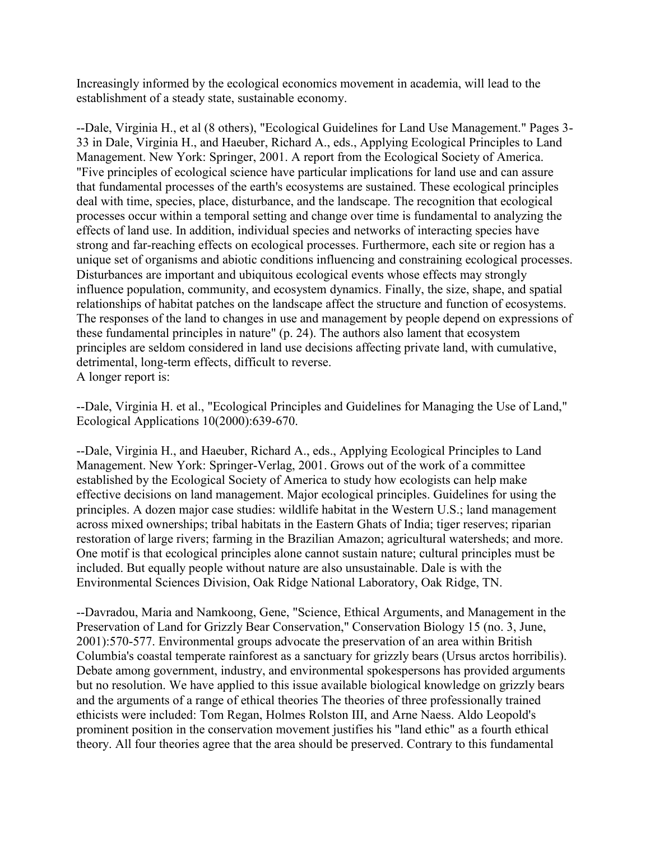Increasingly informed by the ecological economics movement in academia, will lead to the establishment of a steady state, sustainable economy.

--Dale, Virginia H., et al (8 others), "Ecological Guidelines for Land Use Management." Pages 3- 33 in Dale, Virginia H., and Haeuber, Richard A., eds., Applying Ecological Principles to Land Management. New York: Springer, 2001. A report from the Ecological Society of America. "Five principles of ecological science have particular implications for land use and can assure that fundamental processes of the earth's ecosystems are sustained. These ecological principles deal with time, species, place, disturbance, and the landscape. The recognition that ecological processes occur within a temporal setting and change over time is fundamental to analyzing the effects of land use. In addition, individual species and networks of interacting species have strong and far-reaching effects on ecological processes. Furthermore, each site or region has a unique set of organisms and abiotic conditions influencing and constraining ecological processes. Disturbances are important and ubiquitous ecological events whose effects may strongly influence population, community, and ecosystem dynamics. Finally, the size, shape, and spatial relationships of habitat patches on the landscape affect the structure and function of ecosystems. The responses of the land to changes in use and management by people depend on expressions of these fundamental principles in nature" (p. 24). The authors also lament that ecosystem principles are seldom considered in land use decisions affecting private land, with cumulative, detrimental, long-term effects, difficult to reverse. A longer report is:

--Dale, Virginia H. et al., "Ecological Principles and Guidelines for Managing the Use of Land," Ecological Applications 10(2000):639-670.

--Dale, Virginia H., and Haeuber, Richard A., eds., Applying Ecological Principles to Land Management. New York: Springer-Verlag, 2001. Grows out of the work of a committee established by the Ecological Society of America to study how ecologists can help make effective decisions on land management. Major ecological principles. Guidelines for using the principles. A dozen major case studies: wildlife habitat in the Western U.S.; land management across mixed ownerships; tribal habitats in the Eastern Ghats of India; tiger reserves; riparian restoration of large rivers; farming in the Brazilian Amazon; agricultural watersheds; and more. One motif is that ecological principles alone cannot sustain nature; cultural principles must be included. But equally people without nature are also unsustainable. Dale is with the Environmental Sciences Division, Oak Ridge National Laboratory, Oak Ridge, TN.

--Davradou, Maria and Namkoong, Gene, "Science, Ethical Arguments, and Management in the Preservation of Land for Grizzly Bear Conservation," Conservation Biology 15 (no. 3, June, 2001):570-577. Environmental groups advocate the preservation of an area within British Columbia's coastal temperate rainforest as a sanctuary for grizzly bears (Ursus arctos horribilis). Debate among government, industry, and environmental spokespersons has provided arguments but no resolution. We have applied to this issue available biological knowledge on grizzly bears and the arguments of a range of ethical theories The theories of three professionally trained ethicists were included: Tom Regan, Holmes Rolston III, and Arne Naess. Aldo Leopold's prominent position in the conservation movement justifies his "land ethic" as a fourth ethical theory. All four theories agree that the area should be preserved. Contrary to this fundamental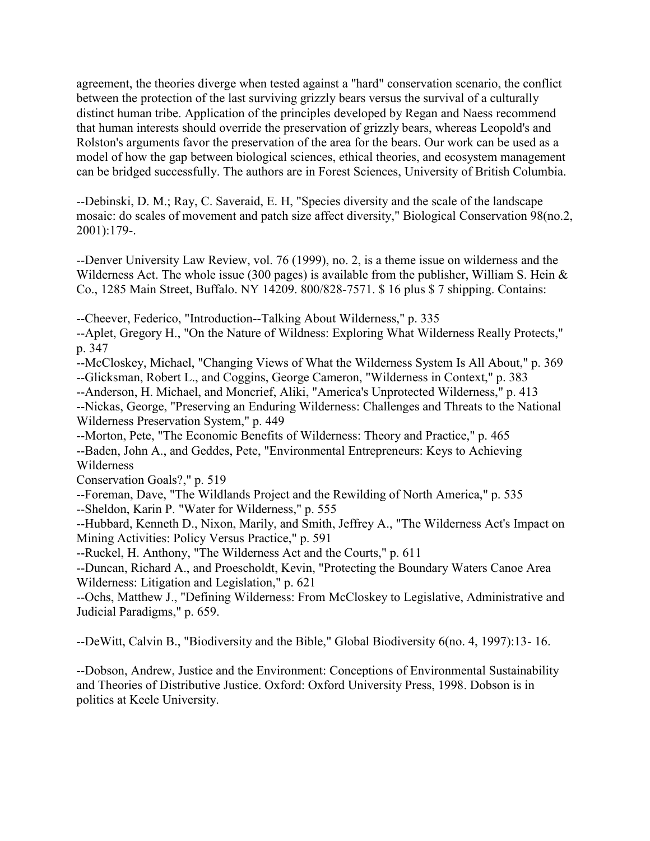agreement, the theories diverge when tested against a "hard" conservation scenario, the conflict between the protection of the last surviving grizzly bears versus the survival of a culturally distinct human tribe. Application of the principles developed by Regan and Naess recommend that human interests should override the preservation of grizzly bears, whereas Leopold's and Rolston's arguments favor the preservation of the area for the bears. Our work can be used as a model of how the gap between biological sciences, ethical theories, and ecosystem management can be bridged successfully. The authors are in Forest Sciences, University of British Columbia.

--Debinski, D. M.; Ray, C. Saveraid, E. H, "Species diversity and the scale of the landscape mosaic: do scales of movement and patch size affect diversity," Biological Conservation 98(no.2, 2001):179-.

--Denver University Law Review, vol. 76 (1999), no. 2, is a theme issue on wilderness and the Wilderness Act. The whole issue (300 pages) is available from the publisher, William S. Hein & Co., 1285 Main Street, Buffalo. NY 14209. 800/828-7571. \$ 16 plus \$ 7 shipping. Contains:

--Cheever, Federico, "Introduction--Talking About Wilderness," p. 335

--Aplet, Gregory H., "On the Nature of Wildness: Exploring What Wilderness Really Protects," p. 347

--McCloskey, Michael, "Changing Views of What the Wilderness System Is All About," p. 369 --Glicksman, Robert L., and Coggins, George Cameron, "Wilderness in Context," p. 383

--Anderson, H. Michael, and Moncrief, Aliki, "America's Unprotected Wilderness," p. 413 --Nickas, George, "Preserving an Enduring Wilderness: Challenges and Threats to the National Wilderness Preservation System," p. 449

--Morton, Pete, "The Economic Benefits of Wilderness: Theory and Practice," p. 465 --Baden, John A., and Geddes, Pete, "Environmental Entrepreneurs: Keys to Achieving Wilderness

Conservation Goals?," p. 519

--Foreman, Dave, "The Wildlands Project and the Rewilding of North America," p. 535 --Sheldon, Karin P. "Water for Wilderness," p. 555

--Hubbard, Kenneth D., Nixon, Marily, and Smith, Jeffrey A., "The Wilderness Act's Impact on Mining Activities: Policy Versus Practice," p. 591

--Ruckel, H. Anthony, "The Wilderness Act and the Courts," p. 611

--Duncan, Richard A., and Proescholdt, Kevin, "Protecting the Boundary Waters Canoe Area Wilderness: Litigation and Legislation," p. 621

--Ochs, Matthew J., "Defining Wilderness: From McCloskey to Legislative, Administrative and Judicial Paradigms," p. 659.

--DeWitt, Calvin B., "Biodiversity and the Bible," Global Biodiversity 6(no. 4, 1997):13- 16.

--Dobson, Andrew, Justice and the Environment: Conceptions of Environmental Sustainability and Theories of Distributive Justice. Oxford: Oxford University Press, 1998. Dobson is in politics at Keele University.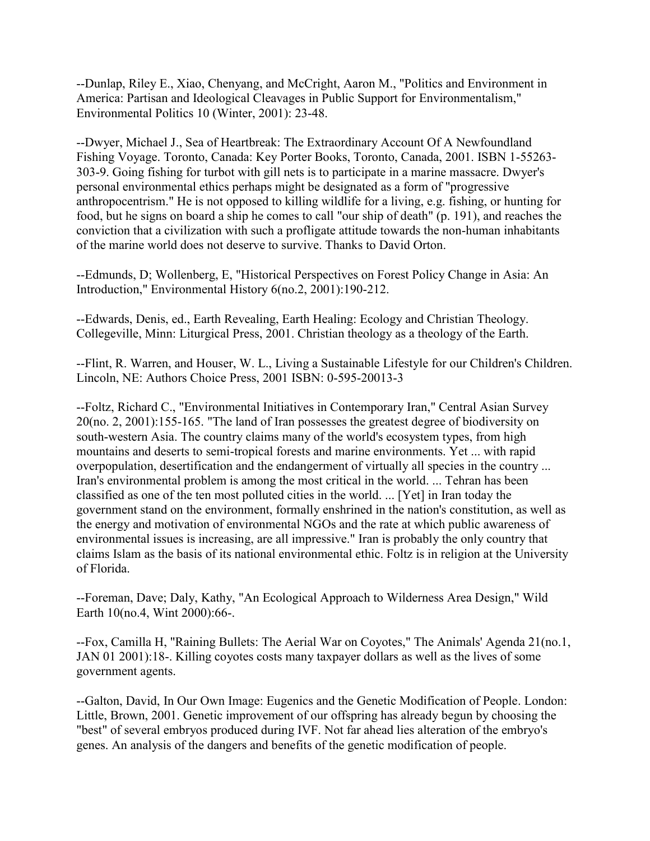--Dunlap, Riley E., Xiao, Chenyang, and McCright, Aaron M., "Politics and Environment in America: Partisan and Ideological Cleavages in Public Support for Environmentalism," Environmental Politics 10 (Winter, 2001): 23-48.

--Dwyer, Michael J., Sea of Heartbreak: The Extraordinary Account Of A Newfoundland Fishing Voyage. Toronto, Canada: Key Porter Books, Toronto, Canada, 2001. ISBN 1-55263- 303-9. Going fishing for turbot with gill nets is to participate in a marine massacre. Dwyer's personal environmental ethics perhaps might be designated as a form of "progressive anthropocentrism." He is not opposed to killing wildlife for a living, e.g. fishing, or hunting for food, but he signs on board a ship he comes to call "our ship of death" (p. 191), and reaches the conviction that a civilization with such a profligate attitude towards the non-human inhabitants of the marine world does not deserve to survive. Thanks to David Orton.

--Edmunds, D; Wollenberg, E, "Historical Perspectives on Forest Policy Change in Asia: An Introduction," Environmental History 6(no.2, 2001):190-212.

--Edwards, Denis, ed., Earth Revealing, Earth Healing: Ecology and Christian Theology. Collegeville, Minn: Liturgical Press, 2001. Christian theology as a theology of the Earth.

--Flint, R. Warren, and Houser, W. L., Living a Sustainable Lifestyle for our Children's Children. Lincoln, NE: Authors Choice Press, 2001 ISBN: 0-595-20013-3

--Foltz, Richard C., "Environmental Initiatives in Contemporary Iran," Central Asian Survey 20(no. 2, 2001):155-165. "The land of Iran possesses the greatest degree of biodiversity on south-western Asia. The country claims many of the world's ecosystem types, from high mountains and deserts to semi-tropical forests and marine environments. Yet ... with rapid overpopulation, desertification and the endangerment of virtually all species in the country ... Iran's environmental problem is among the most critical in the world. ... Tehran has been classified as one of the ten most polluted cities in the world. ... [Yet] in Iran today the government stand on the environment, formally enshrined in the nation's constitution, as well as the energy and motivation of environmental NGOs and the rate at which public awareness of environmental issues is increasing, are all impressive." Iran is probably the only country that claims Islam as the basis of its national environmental ethic. Foltz is in religion at the University of Florida.

--Foreman, Dave; Daly, Kathy, "An Ecological Approach to Wilderness Area Design," Wild Earth 10(no.4, Wint 2000):66-.

--Fox, Camilla H, "Raining Bullets: The Aerial War on Coyotes," The Animals' Agenda 21(no.1, JAN 01 2001):18-. Killing coyotes costs many taxpayer dollars as well as the lives of some government agents.

--Galton, David, In Our Own Image: Eugenics and the Genetic Modification of People. London: Little, Brown, 2001. Genetic improvement of our offspring has already begun by choosing the "best" of several embryos produced during IVF. Not far ahead lies alteration of the embryo's genes. An analysis of the dangers and benefits of the genetic modification of people.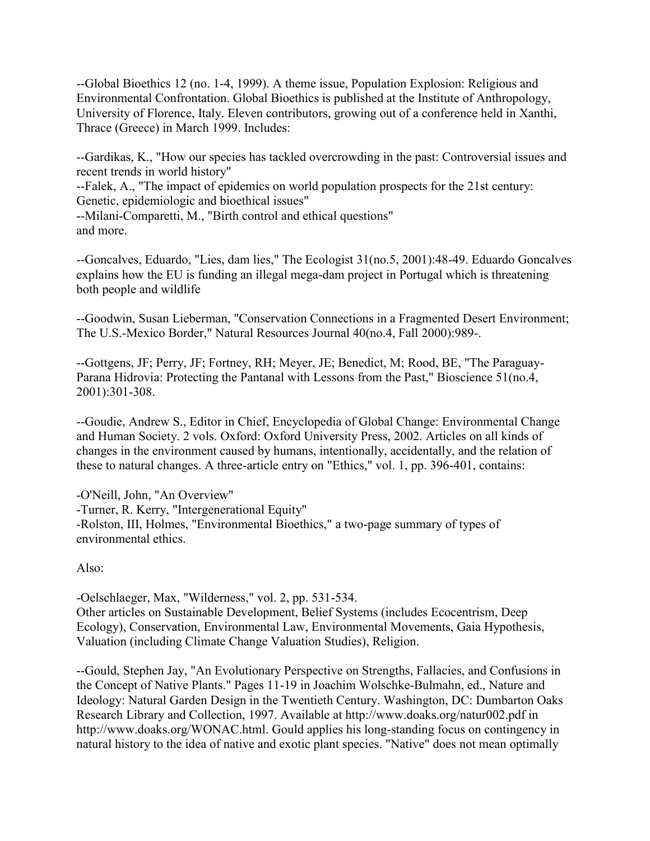--Global Bioethics 12 (no. 1-4, 1999). A theme issue, Population Explosion: Religious and Environmental Confrontation. Global Bioethics is published at the Institute of Anthropology, University of Florence, Italy. Eleven contributors, growing out of a conference held in Xanthi, Thrace (Greece) in March 1999. Includes:

--Gardikas, K., "How our species has tackled overcrowding in the past: Controversial issues and recent trends in world history"

--Falek, A., "The impact of epidemics on world population prospects for the 21st century: Genetic, epidemiologic and bioethical issues"

--Milani-Comparetti, M., "Birth control and ethical questions" and more.

--Goncalves, Eduardo, "Lies, dam lies," The Ecologist 31(no.5, 2001):48-49. Eduardo Goncalves explains how the EU is funding an illegal mega-dam project in Portugal which is threatening both people and wildlife

--Goodwin, Susan Lieberman, "Conservation Connections in a Fragmented Desert Environment; The U.S.-Mexico Border," Natural Resources Journal 40(no.4, Fall 2000):989-.

--Gottgens, JF; Perry, JF; Fortney, RH; Meyer, JE; Benedict, M; Rood, BE, "The Paraguay-Parana Hidrovia: Protecting the Pantanal with Lessons from the Past," Bioscience 51(no.4, 2001):301-308.

--Goudie, Andrew S., Editor in Chief, Encyclopedia of Global Change: Environmental Change and Human Society. 2 vols. Oxford: Oxford University Press, 2002. Articles on all kinds of changes in the environment caused by humans, intentionally, accidentally, and the relation of these to natural changes. A three-article entry on "Ethics," vol. 1, pp. 396-401, contains:

-O'Neill, John, "An Overview" -Turner, R. Kerry, "Intergenerational Equity" -Rolston, III, Holmes, "Environmental Bioethics," a two-page summary of types of environmental ethics.

Also:

-Oelschlaeger, Max, "Wilderness," vol. 2, pp. 531-534. Other articles on Sustainable Development, Belief Systems (includes Ecocentrism, Deep Ecology), Conservation, Environmental Law, Environmental Movements, Gaia Hypothesis, Valuation (including Climate Change Valuation Studies), Religion.

--Gould, Stephen Jay, "An Evolutionary Perspective on Strengths, Fallacies, and Confusions in the Concept of Native Plants." Pages 11-19 in Joachim Wolschke-Bulmahn, ed., Nature and Ideology: Natural Garden Design in the Twentieth Century. Washington, DC: Dumbarton Oaks Research Library and Collection, 1997. Available at http://www.doaks.org/natur002.pdf in http://www.doaks.org/WONAC.html. Gould applies his long-standing focus on contingency in natural history to the idea of native and exotic plant species. "Native" does not mean optimally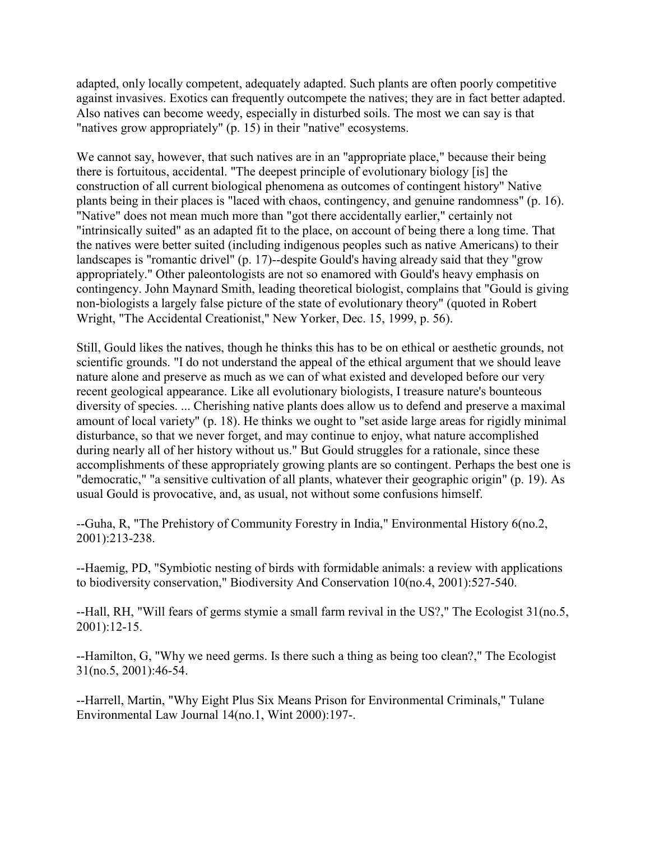adapted, only locally competent, adequately adapted. Such plants are often poorly competitive against invasives. Exotics can frequently outcompete the natives; they are in fact better adapted. Also natives can become weedy, especially in disturbed soils. The most we can say is that "natives grow appropriately" (p. 15) in their "native" ecosystems.

We cannot say, however, that such natives are in an "appropriate place," because their being there is fortuitous, accidental. "The deepest principle of evolutionary biology [is] the construction of all current biological phenomena as outcomes of contingent history" Native plants being in their places is "laced with chaos, contingency, and genuine randomness" (p. 16). "Native" does not mean much more than "got there accidentally earlier," certainly not "intrinsically suited" as an adapted fit to the place, on account of being there a long time. That the natives were better suited (including indigenous peoples such as native Americans) to their landscapes is "romantic drivel" (p. 17)--despite Gould's having already said that they "grow appropriately." Other paleontologists are not so enamored with Gould's heavy emphasis on contingency. John Maynard Smith, leading theoretical biologist, complains that "Gould is giving non-biologists a largely false picture of the state of evolutionary theory" (quoted in Robert Wright, "The Accidental Creationist," New Yorker, Dec. 15, 1999, p. 56).

Still, Gould likes the natives, though he thinks this has to be on ethical or aesthetic grounds, not scientific grounds. "I do not understand the appeal of the ethical argument that we should leave nature alone and preserve as much as we can of what existed and developed before our very recent geological appearance. Like all evolutionary biologists, I treasure nature's bounteous diversity of species. ... Cherishing native plants does allow us to defend and preserve a maximal amount of local variety" (p. 18). He thinks we ought to "set aside large areas for rigidly minimal disturbance, so that we never forget, and may continue to enjoy, what nature accomplished during nearly all of her history without us." But Gould struggles for a rationale, since these accomplishments of these appropriately growing plants are so contingent. Perhaps the best one is "democratic," "a sensitive cultivation of all plants, whatever their geographic origin" (p. 19). As usual Gould is provocative, and, as usual, not without some confusions himself.

--Guha, R, "The Prehistory of Community Forestry in India," Environmental History 6(no.2, 2001):213-238.

--Haemig, PD, "Symbiotic nesting of birds with formidable animals: a review with applications to biodiversity conservation," Biodiversity And Conservation 10(no.4, 2001):527-540.

--Hall, RH, "Will fears of germs stymie a small farm revival in the US?," The Ecologist 31(no.5, 2001):12-15.

--Hamilton, G, "Why we need germs. Is there such a thing as being too clean?," The Ecologist 31(no.5, 2001):46-54.

--Harrell, Martin, "Why Eight Plus Six Means Prison for Environmental Criminals," Tulane Environmental Law Journal 14(no.1, Wint 2000):197-.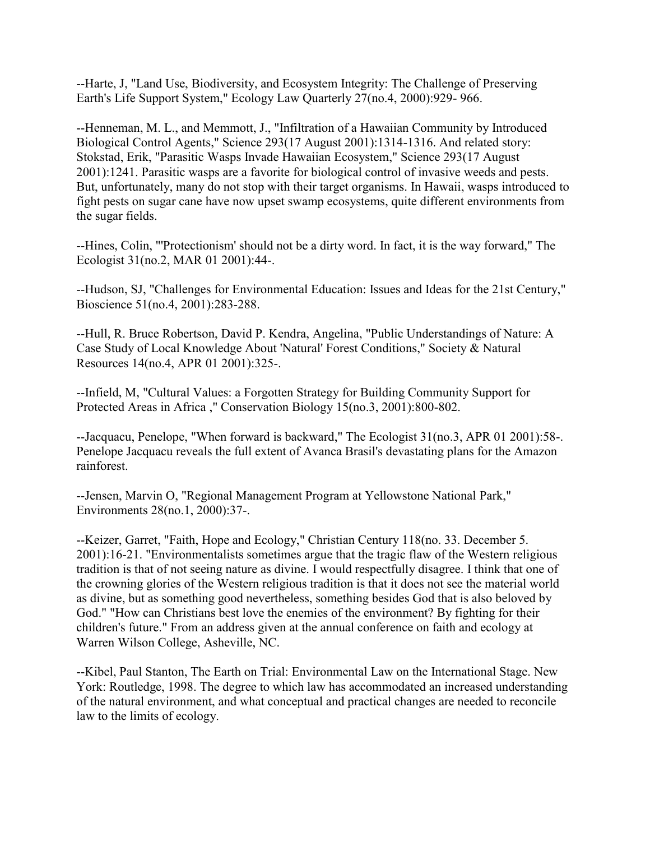--Harte, J, "Land Use, Biodiversity, and Ecosystem Integrity: The Challenge of Preserving Earth's Life Support System," Ecology Law Quarterly 27(no.4, 2000):929- 966.

--Henneman, M. L., and Memmott, J., "Infiltration of a Hawaiian Community by Introduced Biological Control Agents," Science 293(17 August 2001):1314-1316. And related story: Stokstad, Erik, "Parasitic Wasps Invade Hawaiian Ecosystem," Science 293(17 August 2001):1241. Parasitic wasps are a favorite for biological control of invasive weeds and pests. But, unfortunately, many do not stop with their target organisms. In Hawaii, wasps introduced to fight pests on sugar cane have now upset swamp ecosystems, quite different environments from the sugar fields.

--Hines, Colin, "'Protectionism' should not be a dirty word. In fact, it is the way forward," The Ecologist 31(no.2, MAR 01 2001):44-.

--Hudson, SJ, "Challenges for Environmental Education: Issues and Ideas for the 21st Century," Bioscience 51(no.4, 2001):283-288.

--Hull, R. Bruce Robertson, David P. Kendra, Angelina, "Public Understandings of Nature: A Case Study of Local Knowledge About 'Natural' Forest Conditions," Society & Natural Resources 14(no.4, APR 01 2001):325-.

--Infield, M, "Cultural Values: a Forgotten Strategy for Building Community Support for Protected Areas in Africa ," Conservation Biology 15(no.3, 2001):800-802.

--Jacquacu, Penelope, "When forward is backward," The Ecologist 31(no.3, APR 01 2001):58-. Penelope Jacquacu reveals the full extent of Avanca Brasil's devastating plans for the Amazon rainforest.

--Jensen, Marvin O, "Regional Management Program at Yellowstone National Park," Environments 28(no.1, 2000):37-.

--Keizer, Garret, "Faith, Hope and Ecology," Christian Century 118(no. 33. December 5. 2001):16-21. "Environmentalists sometimes argue that the tragic flaw of the Western religious tradition is that of not seeing nature as divine. I would respectfully disagree. I think that one of the crowning glories of the Western religious tradition is that it does not see the material world as divine, but as something good nevertheless, something besides God that is also beloved by God." "How can Christians best love the enemies of the environment? By fighting for their children's future." From an address given at the annual conference on faith and ecology at Warren Wilson College, Asheville, NC.

--Kibel, Paul Stanton, The Earth on Trial: Environmental Law on the International Stage. New York: Routledge, 1998. The degree to which law has accommodated an increased understanding of the natural environment, and what conceptual and practical changes are needed to reconcile law to the limits of ecology.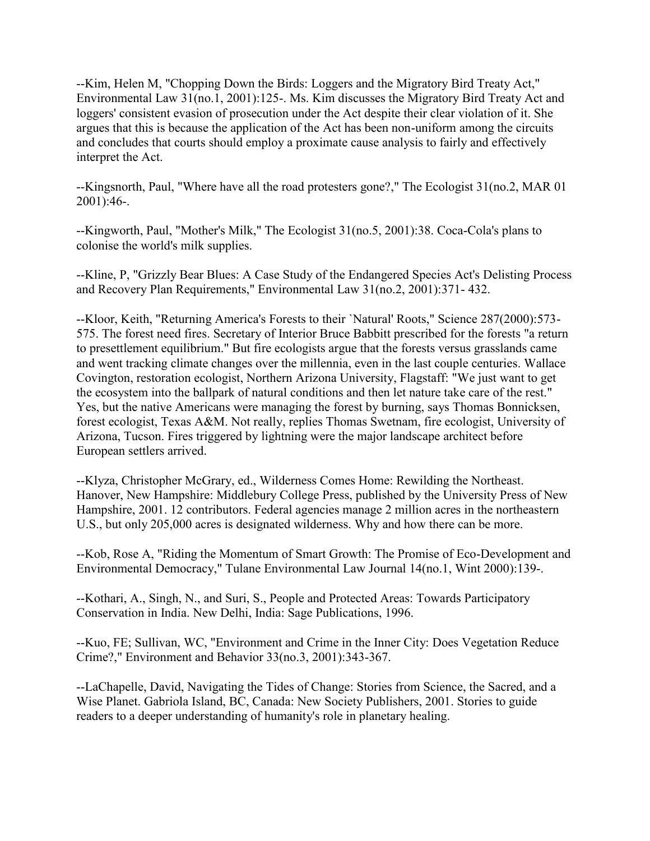--Kim, Helen M, "Chopping Down the Birds: Loggers and the Migratory Bird Treaty Act," Environmental Law 31(no.1, 2001):125-. Ms. Kim discusses the Migratory Bird Treaty Act and loggers' consistent evasion of prosecution under the Act despite their clear violation of it. She argues that this is because the application of the Act has been non-uniform among the circuits and concludes that courts should employ a proximate cause analysis to fairly and effectively interpret the Act.

--Kingsnorth, Paul, "Where have all the road protesters gone?," The Ecologist 31(no.2, MAR 01 2001):46-.

--Kingworth, Paul, "Mother's Milk," The Ecologist 31(no.5, 2001):38. Coca-Cola's plans to colonise the world's milk supplies.

--Kline, P, "Grizzly Bear Blues: A Case Study of the Endangered Species Act's Delisting Process and Recovery Plan Requirements," Environmental Law 31(no.2, 2001):371- 432.

--Kloor, Keith, "Returning America's Forests to their `Natural' Roots," Science 287(2000):573- 575. The forest need fires. Secretary of Interior Bruce Babbitt prescribed for the forests "a return to presettlement equilibrium." But fire ecologists argue that the forests versus grasslands came and went tracking climate changes over the millennia, even in the last couple centuries. Wallace Covington, restoration ecologist, Northern Arizona University, Flagstaff: "We just want to get the ecosystem into the ballpark of natural conditions and then let nature take care of the rest." Yes, but the native Americans were managing the forest by burning, says Thomas Bonnicksen, forest ecologist, Texas A&M. Not really, replies Thomas Swetnam, fire ecologist, University of Arizona, Tucson. Fires triggered by lightning were the major landscape architect before European settlers arrived.

--Klyza, Christopher McGrary, ed., Wilderness Comes Home: Rewilding the Northeast. Hanover, New Hampshire: Middlebury College Press, published by the University Press of New Hampshire, 2001. 12 contributors. Federal agencies manage 2 million acres in the northeastern U.S., but only 205,000 acres is designated wilderness. Why and how there can be more.

--Kob, Rose A, "Riding the Momentum of Smart Growth: The Promise of Eco-Development and Environmental Democracy," Tulane Environmental Law Journal 14(no.1, Wint 2000):139-.

--Kothari, A., Singh, N., and Suri, S., People and Protected Areas: Towards Participatory Conservation in India. New Delhi, India: Sage Publications, 1996.

--Kuo, FE; Sullivan, WC, "Environment and Crime in the Inner City: Does Vegetation Reduce Crime?," Environment and Behavior 33(no.3, 2001):343-367.

--LaChapelle, David, Navigating the Tides of Change: Stories from Science, the Sacred, and a Wise Planet. Gabriola Island, BC, Canada: New Society Publishers, 2001. Stories to guide readers to a deeper understanding of humanity's role in planetary healing.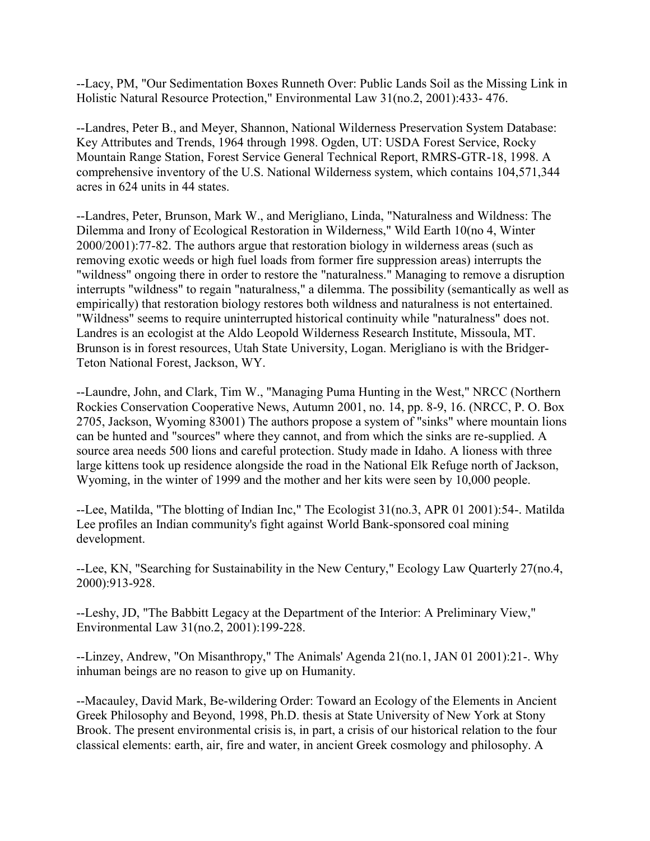--Lacy, PM, "Our Sedimentation Boxes Runneth Over: Public Lands Soil as the Missing Link in Holistic Natural Resource Protection," Environmental Law 31(no.2, 2001):433- 476.

--Landres, Peter B., and Meyer, Shannon, National Wilderness Preservation System Database: Key Attributes and Trends, 1964 through 1998. Ogden, UT: USDA Forest Service, Rocky Mountain Range Station, Forest Service General Technical Report, RMRS-GTR-18, 1998. A comprehensive inventory of the U.S. National Wilderness system, which contains 104,571,344 acres in 624 units in 44 states.

--Landres, Peter, Brunson, Mark W., and Merigliano, Linda, "Naturalness and Wildness: The Dilemma and Irony of Ecological Restoration in Wilderness," Wild Earth 10(no 4, Winter 2000/2001):77-82. The authors argue that restoration biology in wilderness areas (such as removing exotic weeds or high fuel loads from former fire suppression areas) interrupts the "wildness" ongoing there in order to restore the "naturalness." Managing to remove a disruption interrupts "wildness" to regain "naturalness," a dilemma. The possibility (semantically as well as empirically) that restoration biology restores both wildness and naturalness is not entertained. "Wildness" seems to require uninterrupted historical continuity while "naturalness" does not. Landres is an ecologist at the Aldo Leopold Wilderness Research Institute, Missoula, MT. Brunson is in forest resources, Utah State University, Logan. Merigliano is with the Bridger-Teton National Forest, Jackson, WY.

--Laundre, John, and Clark, Tim W., "Managing Puma Hunting in the West," NRCC (Northern Rockies Conservation Cooperative News, Autumn 2001, no. 14, pp. 8-9, 16. (NRCC, P. O. Box 2705, Jackson, Wyoming 83001) The authors propose a system of "sinks" where mountain lions can be hunted and "sources" where they cannot, and from which the sinks are re-supplied. A source area needs 500 lions and careful protection. Study made in Idaho. A lioness with three large kittens took up residence alongside the road in the National Elk Refuge north of Jackson, Wyoming, in the winter of 1999 and the mother and her kits were seen by 10,000 people.

--Lee, Matilda, "The blotting of Indian Inc," The Ecologist 31(no.3, APR 01 2001):54-. Matilda Lee profiles an Indian community's fight against World Bank-sponsored coal mining development.

--Lee, KN, "Searching for Sustainability in the New Century," Ecology Law Quarterly 27(no.4, 2000):913-928.

--Leshy, JD, "The Babbitt Legacy at the Department of the Interior: A Preliminary View," Environmental Law 31(no.2, 2001):199-228.

--Linzey, Andrew, "On Misanthropy," The Animals' Agenda 21(no.1, JAN 01 2001):21-. Why inhuman beings are no reason to give up on Humanity.

--Macauley, David Mark, Be-wildering Order: Toward an Ecology of the Elements in Ancient Greek Philosophy and Beyond, 1998, Ph.D. thesis at State University of New York at Stony Brook. The present environmental crisis is, in part, a crisis of our historical relation to the four classical elements: earth, air, fire and water, in ancient Greek cosmology and philosophy. A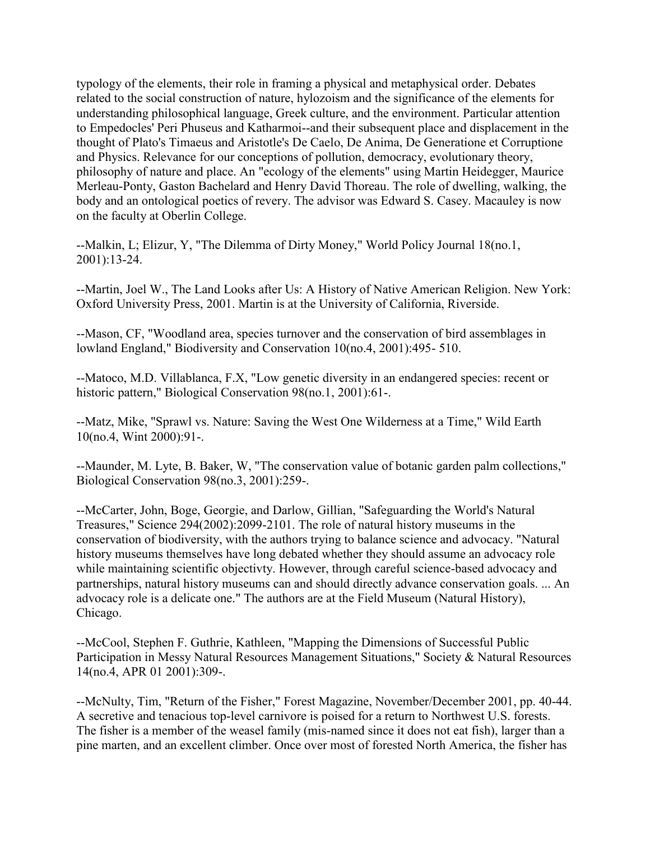typology of the elements, their role in framing a physical and metaphysical order. Debates related to the social construction of nature, hylozoism and the significance of the elements for understanding philosophical language, Greek culture, and the environment. Particular attention to Empedocles' Peri Phuseus and Katharmoi--and their subsequent place and displacement in the thought of Plato's Timaeus and Aristotle's De Caelo, De Anima, De Generatione et Corruptione and Physics. Relevance for our conceptions of pollution, democracy, evolutionary theory, philosophy of nature and place. An "ecology of the elements" using Martin Heidegger, Maurice Merleau-Ponty, Gaston Bachelard and Henry David Thoreau. The role of dwelling, walking, the body and an ontological poetics of revery. The advisor was Edward S. Casey. Macauley is now on the faculty at Oberlin College.

--Malkin, L; Elizur, Y, "The Dilemma of Dirty Money," World Policy Journal 18(no.1, 2001):13-24.

--Martin, Joel W., The Land Looks after Us: A History of Native American Religion. New York: Oxford University Press, 2001. Martin is at the University of California, Riverside.

--Mason, CF, "Woodland area, species turnover and the conservation of bird assemblages in lowland England," Biodiversity and Conservation 10(no.4, 2001):495- 510.

--Matoco, M.D. Villablanca, F.X, "Low genetic diversity in an endangered species: recent or historic pattern," Biological Conservation 98(no.1, 2001):61-.

--Matz, Mike, "Sprawl vs. Nature: Saving the West One Wilderness at a Time," Wild Earth 10(no.4, Wint 2000):91-.

--Maunder, M. Lyte, B. Baker, W, "The conservation value of botanic garden palm collections," Biological Conservation 98(no.3, 2001):259-.

--McCarter, John, Boge, Georgie, and Darlow, Gillian, "Safeguarding the World's Natural Treasures," Science 294(2002):2099-2101. The role of natural history museums in the conservation of biodiversity, with the authors trying to balance science and advocacy. "Natural history museums themselves have long debated whether they should assume an advocacy role while maintaining scientific objectivty. However, through careful science-based advocacy and partnerships, natural history museums can and should directly advance conservation goals. ... An advocacy role is a delicate one." The authors are at the Field Museum (Natural History), Chicago.

--McCool, Stephen F. Guthrie, Kathleen, "Mapping the Dimensions of Successful Public Participation in Messy Natural Resources Management Situations," Society & Natural Resources 14(no.4, APR 01 2001):309-.

--McNulty, Tim, "Return of the Fisher," Forest Magazine, November/December 2001, pp. 40-44. A secretive and tenacious top-level carnivore is poised for a return to Northwest U.S. forests. The fisher is a member of the weasel family (mis-named since it does not eat fish), larger than a pine marten, and an excellent climber. Once over most of forested North America, the fisher has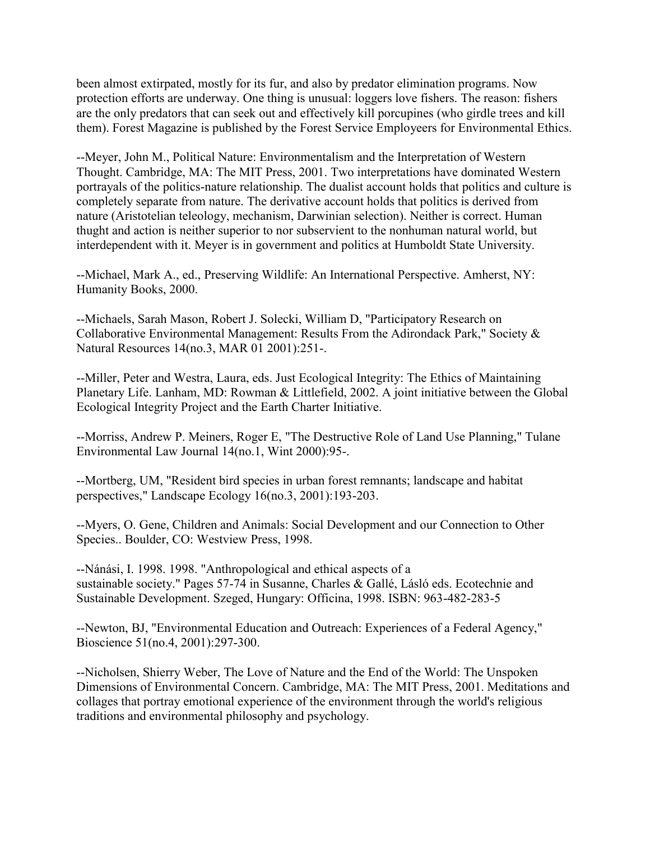been almost extirpated, mostly for its fur, and also by predator elimination programs. Now protection efforts are underway. One thing is unusual: loggers love fishers. The reason: fishers are the only predators that can seek out and effectively kill porcupines (who girdle trees and kill them). Forest Magazine is published by the Forest Service Employeers for Environmental Ethics.

--Meyer, John M., Political Nature: Environmentalism and the Interpretation of Western Thought. Cambridge, MA: The MIT Press, 2001. Two interpretations have dominated Western portrayals of the politics-nature relationship. The dualist account holds that politics and culture is completely separate from nature. The derivative account holds that politics is derived from nature (Aristotelian teleology, mechanism, Darwinian selection). Neither is correct. Human thught and action is neither superior to nor subservient to the nonhuman natural world, but interdependent with it. Meyer is in government and politics at Humboldt State University.

--Michael, Mark A., ed., Preserving Wildlife: An International Perspective. Amherst, NY: Humanity Books, 2000.

--Michaels, Sarah Mason, Robert J. Solecki, William D, "Participatory Research on Collaborative Environmental Management: Results From the Adirondack Park," Society & Natural Resources 14(no.3, MAR 01 2001):251-.

--Miller, Peter and Westra, Laura, eds. Just Ecological Integrity: The Ethics of Maintaining Planetary Life. Lanham, MD: Rowman & Littlefield, 2002. A joint initiative between the Global Ecological Integrity Project and the Earth Charter Initiative.

--Morriss, Andrew P. Meiners, Roger E, "The Destructive Role of Land Use Planning," Tulane Environmental Law Journal 14(no.1, Wint 2000):95-.

--Mortberg, UM, "Resident bird species in urban forest remnants; landscape and habitat perspectives," Landscape Ecology 16(no.3, 2001):193-203.

--Myers, O. Gene, Children and Animals: Social Development and our Connection to Other Species.. Boulder, CO: Westview Press, 1998.

--Nánási, I. 1998. 1998. "Anthropological and ethical aspects of a sustainable society." Pages 57-74 in Susanne, Charles & Gallé, Lásló eds. Ecotechnie and Sustainable Development. Szeged, Hungary: Officina, 1998. ISBN: 963-482-283-5

--Newton, BJ, "Environmental Education and Outreach: Experiences of a Federal Agency," Bioscience 51(no.4, 2001):297-300.

--Nicholsen, Shierry Weber, The Love of Nature and the End of the World: The Unspoken Dimensions of Environmental Concern. Cambridge, MA: The MIT Press, 2001. Meditations and collages that portray emotional experience of the environment through the world's religious traditions and environmental philosophy and psychology.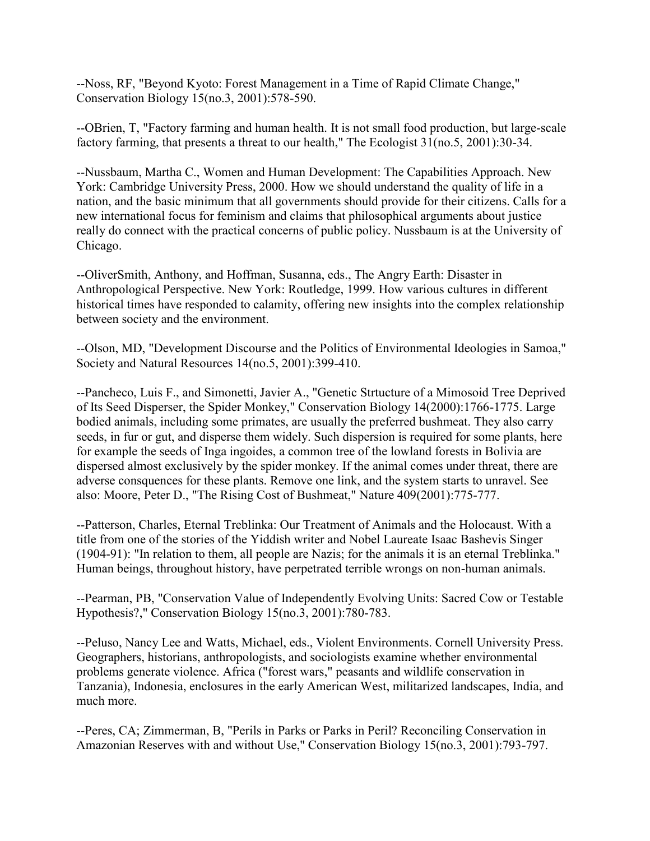--Noss, RF, "Beyond Kyoto: Forest Management in a Time of Rapid Climate Change," Conservation Biology 15(no.3, 2001):578-590.

--OBrien, T, "Factory farming and human health. It is not small food production, but large-scale factory farming, that presents a threat to our health," The Ecologist  $31$ (no.5, 2001):30-34.

--Nussbaum, Martha C., Women and Human Development: The Capabilities Approach. New York: Cambridge University Press, 2000. How we should understand the quality of life in a nation, and the basic minimum that all governments should provide for their citizens. Calls for a new international focus for feminism and claims that philosophical arguments about justice really do connect with the practical concerns of public policy. Nussbaum is at the University of Chicago.

--OliverSmith, Anthony, and Hoffman, Susanna, eds., The Angry Earth: Disaster in Anthropological Perspective. New York: Routledge, 1999. How various cultures in different historical times have responded to calamity, offering new insights into the complex relationship between society and the environment.

--Olson, MD, "Development Discourse and the Politics of Environmental Ideologies in Samoa," Society and Natural Resources 14(no.5, 2001):399-410.

--Pancheco, Luis F., and Simonetti, Javier A., "Genetic Strtucture of a Mimosoid Tree Deprived of Its Seed Disperser, the Spider Monkey," Conservation Biology 14(2000):1766-1775. Large bodied animals, including some primates, are usually the preferred bushmeat. They also carry seeds, in fur or gut, and disperse them widely. Such dispersion is required for some plants, here for example the seeds of Inga ingoides, a common tree of the lowland forests in Bolivia are dispersed almost exclusively by the spider monkey. If the animal comes under threat, there are adverse consquences for these plants. Remove one link, and the system starts to unravel. See also: Moore, Peter D., "The Rising Cost of Bushmeat," Nature 409(2001):775-777.

--Patterson, Charles, Eternal Treblinka: Our Treatment of Animals and the Holocaust. With a title from one of the stories of the Yiddish writer and Nobel Laureate Isaac Bashevis Singer (1904-91): "In relation to them, all people are Nazis; for the animals it is an eternal Treblinka." Human beings, throughout history, have perpetrated terrible wrongs on non-human animals.

--Pearman, PB, "Conservation Value of Independently Evolving Units: Sacred Cow or Testable Hypothesis?," Conservation Biology 15(no.3, 2001):780-783.

--Peluso, Nancy Lee and Watts, Michael, eds., Violent Environments. Cornell University Press. Geographers, historians, anthropologists, and sociologists examine whether environmental problems generate violence. Africa ("forest wars," peasants and wildlife conservation in Tanzania), Indonesia, enclosures in the early American West, militarized landscapes, India, and much more.

--Peres, CA; Zimmerman, B, "Perils in Parks or Parks in Peril? Reconciling Conservation in Amazonian Reserves with and without Use," Conservation Biology 15(no.3, 2001):793-797.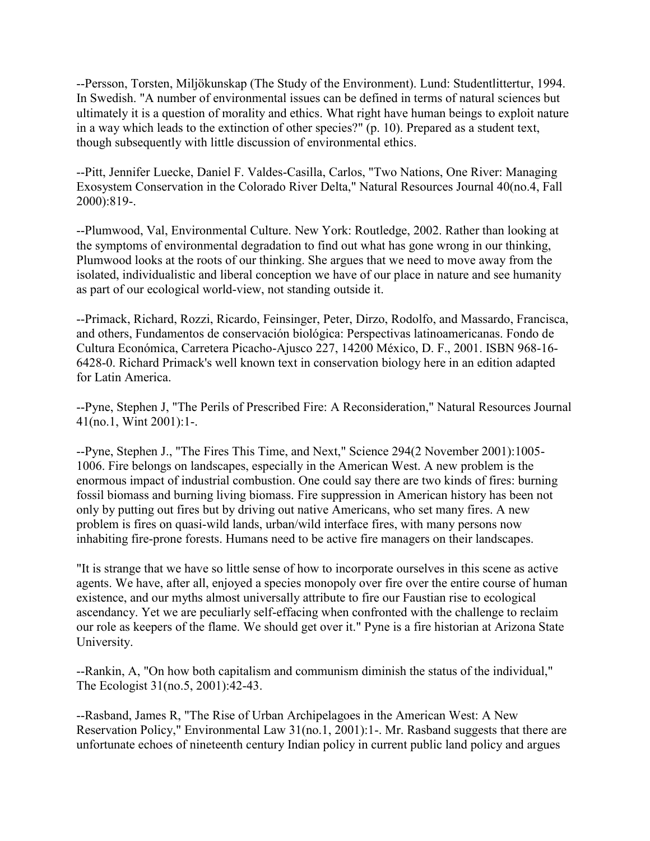--Persson, Torsten, Miljökunskap (The Study of the Environment). Lund: Studentlittertur, 1994. In Swedish. "A number of environmental issues can be defined in terms of natural sciences but ultimately it is a question of morality and ethics. What right have human beings to exploit nature in a way which leads to the extinction of other species?" (p. 10). Prepared as a student text, though subsequently with little discussion of environmental ethics.

--Pitt, Jennifer Luecke, Daniel F. Valdes-Casilla, Carlos, "Two Nations, One River: Managing Exosystem Conservation in the Colorado River Delta," Natural Resources Journal 40(no.4, Fall 2000):819-.

--Plumwood, Val, Environmental Culture. New York: Routledge, 2002. Rather than looking at the symptoms of environmental degradation to find out what has gone wrong in our thinking, Plumwood looks at the roots of our thinking. She argues that we need to move away from the isolated, individualistic and liberal conception we have of our place in nature and see humanity as part of our ecological world-view, not standing outside it.

--Primack, Richard, Rozzi, Ricardo, Feinsinger, Peter, Dirzo, Rodolfo, and Massardo, Francisca, and others, Fundamentos de conservación biológica: Perspectivas latinoamericanas. Fondo de Cultura Económica, Carretera Picacho-Ajusco 227, 14200 México, D. F., 2001. ISBN 968-16- 6428-0. Richard Primack's well known text in conservation biology here in an edition adapted for Latin America.

--Pyne, Stephen J, "The Perils of Prescribed Fire: A Reconsideration," Natural Resources Journal 41(no.1, Wint 2001):1-.

--Pyne, Stephen J., "The Fires This Time, and Next," Science 294(2 November 2001):1005- 1006. Fire belongs on landscapes, especially in the American West. A new problem is the enormous impact of industrial combustion. One could say there are two kinds of fires: burning fossil biomass and burning living biomass. Fire suppression in American history has been not only by putting out fires but by driving out native Americans, who set many fires. A new problem is fires on quasi-wild lands, urban/wild interface fires, with many persons now inhabiting fire-prone forests. Humans need to be active fire managers on their landscapes.

"It is strange that we have so little sense of how to incorporate ourselves in this scene as active agents. We have, after all, enjoyed a species monopoly over fire over the entire course of human existence, and our myths almost universally attribute to fire our Faustian rise to ecological ascendancy. Yet we are peculiarly self-effacing when confronted with the challenge to reclaim our role as keepers of the flame. We should get over it." Pyne is a fire historian at Arizona State University.

--Rankin, A, "On how both capitalism and communism diminish the status of the individual," The Ecologist 31(no.5, 2001):42-43.

--Rasband, James R, "The Rise of Urban Archipelagoes in the American West: A New Reservation Policy," Environmental Law 31(no.1, 2001):1-. Mr. Rasband suggests that there are unfortunate echoes of nineteenth century Indian policy in current public land policy and argues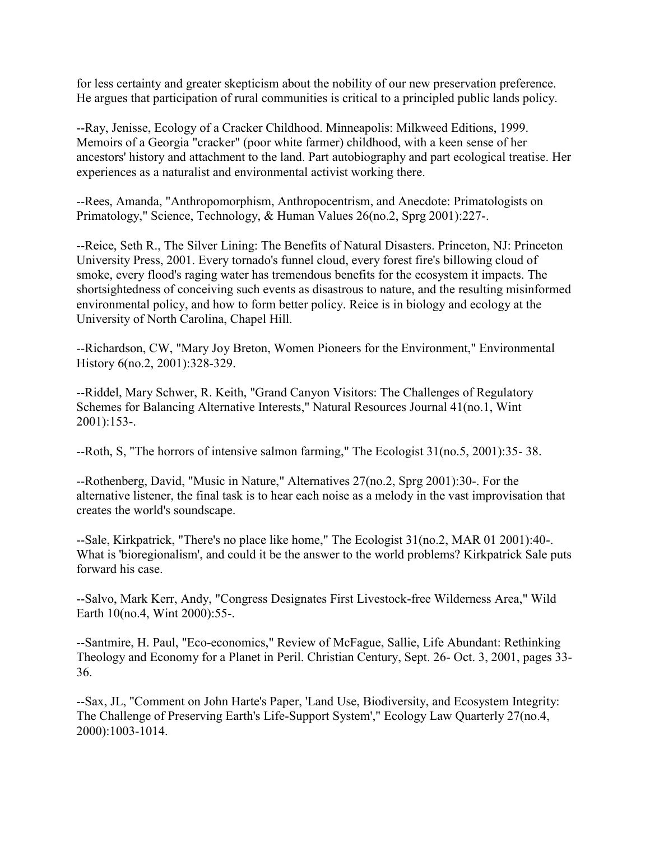for less certainty and greater skepticism about the nobility of our new preservation preference. He argues that participation of rural communities is critical to a principled public lands policy.

--Ray, Jenisse, Ecology of a Cracker Childhood. Minneapolis: Milkweed Editions, 1999. Memoirs of a Georgia "cracker" (poor white farmer) childhood, with a keen sense of her ancestors' history and attachment to the land. Part autobiography and part ecological treatise. Her experiences as a naturalist and environmental activist working there.

--Rees, Amanda, "Anthropomorphism, Anthropocentrism, and Anecdote: Primatologists on Primatology," Science, Technology, & Human Values 26(no.2, Sprg 2001):227-.

--Reice, Seth R., The Silver Lining: The Benefits of Natural Disasters. Princeton, NJ: Princeton University Press, 2001. Every tornado's funnel cloud, every forest fire's billowing cloud of smoke, every flood's raging water has tremendous benefits for the ecosystem it impacts. The shortsightedness of conceiving such events as disastrous to nature, and the resulting misinformed environmental policy, and how to form better policy. Reice is in biology and ecology at the University of North Carolina, Chapel Hill.

--Richardson, CW, "Mary Joy Breton, Women Pioneers for the Environment," Environmental History 6(no.2, 2001):328-329.

--Riddel, Mary Schwer, R. Keith, "Grand Canyon Visitors: The Challenges of Regulatory Schemes for Balancing Alternative Interests," Natural Resources Journal 41(no.1, Wint 2001):153-.

--Roth, S, "The horrors of intensive salmon farming," The Ecologist 31(no.5, 2001):35- 38.

--Rothenberg, David, "Music in Nature," Alternatives 27(no.2, Sprg 2001):30-. For the alternative listener, the final task is to hear each noise as a melody in the vast improvisation that creates the world's soundscape.

--Sale, Kirkpatrick, "There's no place like home," The Ecologist 31(no.2, MAR 01 2001):40-. What is 'bioregionalism', and could it be the answer to the world problems? Kirkpatrick Sale puts forward his case.

--Salvo, Mark Kerr, Andy, "Congress Designates First Livestock-free Wilderness Area," Wild Earth 10(no.4, Wint 2000):55-.

--Santmire, H. Paul, "Eco-economics," Review of McFague, Sallie, Life Abundant: Rethinking Theology and Economy for a Planet in Peril. Christian Century, Sept. 26- Oct. 3, 2001, pages 33- 36.

--Sax, JL, "Comment on John Harte's Paper, 'Land Use, Biodiversity, and Ecosystem Integrity: The Challenge of Preserving Earth's Life-Support System'," Ecology Law Quarterly 27(no.4, 2000):1003-1014.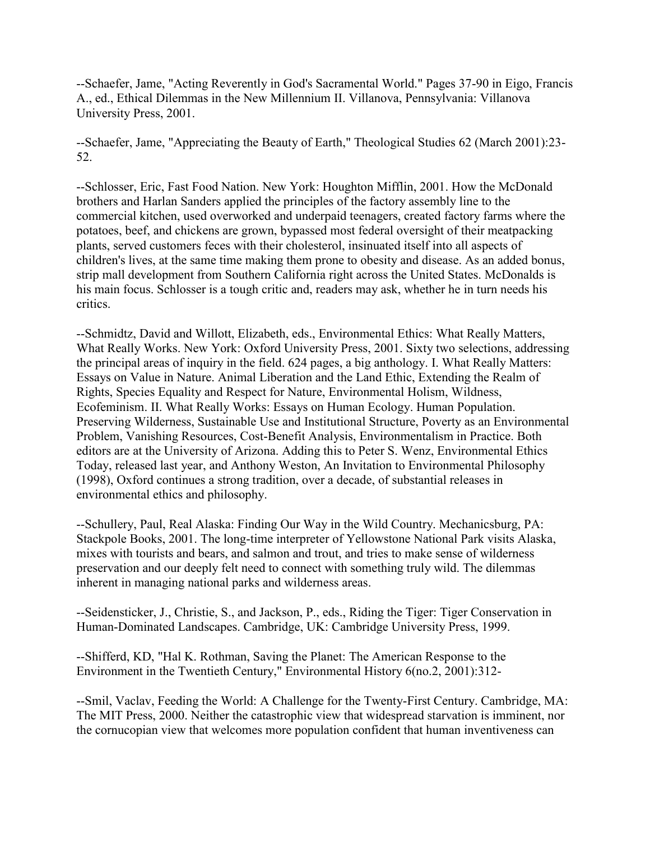--Schaefer, Jame, "Acting Reverently in God's Sacramental World." Pages 37-90 in Eigo, Francis A., ed., Ethical Dilemmas in the New Millennium II. Villanova, Pennsylvania: Villanova University Press, 2001.

--Schaefer, Jame, "Appreciating the Beauty of Earth," Theological Studies 62 (March 2001):23- 52.

--Schlosser, Eric, Fast Food Nation. New York: Houghton Mifflin, 2001. How the McDonald brothers and Harlan Sanders applied the principles of the factory assembly line to the commercial kitchen, used overworked and underpaid teenagers, created factory farms where the potatoes, beef, and chickens are grown, bypassed most federal oversight of their meatpacking plants, served customers feces with their cholesterol, insinuated itself into all aspects of children's lives, at the same time making them prone to obesity and disease. As an added bonus, strip mall development from Southern California right across the United States. McDonalds is his main focus. Schlosser is a tough critic and, readers may ask, whether he in turn needs his critics.

--Schmidtz, David and Willott, Elizabeth, eds., Environmental Ethics: What Really Matters, What Really Works. New York: Oxford University Press, 2001. Sixty two selections, addressing the principal areas of inquiry in the field. 624 pages, a big anthology. I. What Really Matters: Essays on Value in Nature. Animal Liberation and the Land Ethic, Extending the Realm of Rights, Species Equality and Respect for Nature, Environmental Holism, Wildness, Ecofeminism. II. What Really Works: Essays on Human Ecology. Human Population. Preserving Wilderness, Sustainable Use and Institutional Structure, Poverty as an Environmental Problem, Vanishing Resources, Cost-Benefit Analysis, Environmentalism in Practice. Both editors are at the University of Arizona. Adding this to Peter S. Wenz, Environmental Ethics Today, released last year, and Anthony Weston, An Invitation to Environmental Philosophy (1998), Oxford continues a strong tradition, over a decade, of substantial releases in environmental ethics and philosophy.

--Schullery, Paul, Real Alaska: Finding Our Way in the Wild Country. Mechanicsburg, PA: Stackpole Books, 2001. The long-time interpreter of Yellowstone National Park visits Alaska, mixes with tourists and bears, and salmon and trout, and tries to make sense of wilderness preservation and our deeply felt need to connect with something truly wild. The dilemmas inherent in managing national parks and wilderness areas.

--Seidensticker, J., Christie, S., and Jackson, P., eds., Riding the Tiger: Tiger Conservation in Human-Dominated Landscapes. Cambridge, UK: Cambridge University Press, 1999.

--Shifferd, KD, "Hal K. Rothman, Saving the Planet: The American Response to the Environment in the Twentieth Century," Environmental History 6(no.2, 2001):312-

--Smil, Vaclav, Feeding the World: A Challenge for the Twenty-First Century. Cambridge, MA: The MIT Press, 2000. Neither the catastrophic view that widespread starvation is imminent, nor the cornucopian view that welcomes more population confident that human inventiveness can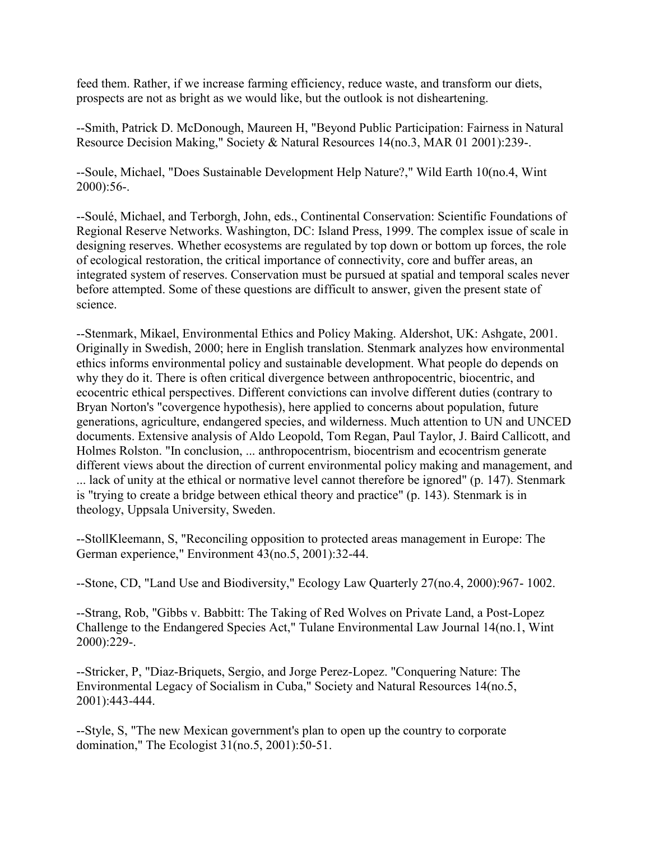feed them. Rather, if we increase farming efficiency, reduce waste, and transform our diets, prospects are not as bright as we would like, but the outlook is not disheartening.

--Smith, Patrick D. McDonough, Maureen H, "Beyond Public Participation: Fairness in Natural Resource Decision Making," Society & Natural Resources 14(no.3, MAR 01 2001):239-.

--Soule, Michael, "Does Sustainable Development Help Nature?," Wild Earth 10(no.4, Wint 2000):56-.

--Soulé, Michael, and Terborgh, John, eds., Continental Conservation: Scientific Foundations of Regional Reserve Networks. Washington, DC: Island Press, 1999. The complex issue of scale in designing reserves. Whether ecosystems are regulated by top down or bottom up forces, the role of ecological restoration, the critical importance of connectivity, core and buffer areas, an integrated system of reserves. Conservation must be pursued at spatial and temporal scales never before attempted. Some of these questions are difficult to answer, given the present state of science.

--Stenmark, Mikael, Environmental Ethics and Policy Making. Aldershot, UK: Ashgate, 2001. Originally in Swedish, 2000; here in English translation. Stenmark analyzes how environmental ethics informs environmental policy and sustainable development. What people do depends on why they do it. There is often critical divergence between anthropocentric, biocentric, and ecocentric ethical perspectives. Different convictions can involve different duties (contrary to Bryan Norton's "covergence hypothesis), here applied to concerns about population, future generations, agriculture, endangered species, and wilderness. Much attention to UN and UNCED documents. Extensive analysis of Aldo Leopold, Tom Regan, Paul Taylor, J. Baird Callicott, and Holmes Rolston. "In conclusion, ... anthropocentrism, biocentrism and ecocentrism generate different views about the direction of current environmental policy making and management, and ... lack of unity at the ethical or normative level cannot therefore be ignored" (p. 147). Stenmark is "trying to create a bridge between ethical theory and practice" (p. 143). Stenmark is in theology, Uppsala University, Sweden.

--StollKleemann, S, "Reconciling opposition to protected areas management in Europe: The German experience," Environment 43(no.5, 2001):32-44.

--Stone, CD, "Land Use and Biodiversity," Ecology Law Quarterly 27(no.4, 2000):967- 1002.

--Strang, Rob, "Gibbs v. Babbitt: The Taking of Red Wolves on Private Land, a Post-Lopez Challenge to the Endangered Species Act," Tulane Environmental Law Journal 14(no.1, Wint 2000):229-.

--Stricker, P, "Diaz-Briquets, Sergio, and Jorge Perez-Lopez. "Conquering Nature: The Environmental Legacy of Socialism in Cuba," Society and Natural Resources 14(no.5, 2001):443-444.

--Style, S, "The new Mexican government's plan to open up the country to corporate domination," The Ecologist 31(no.5, 2001):50-51.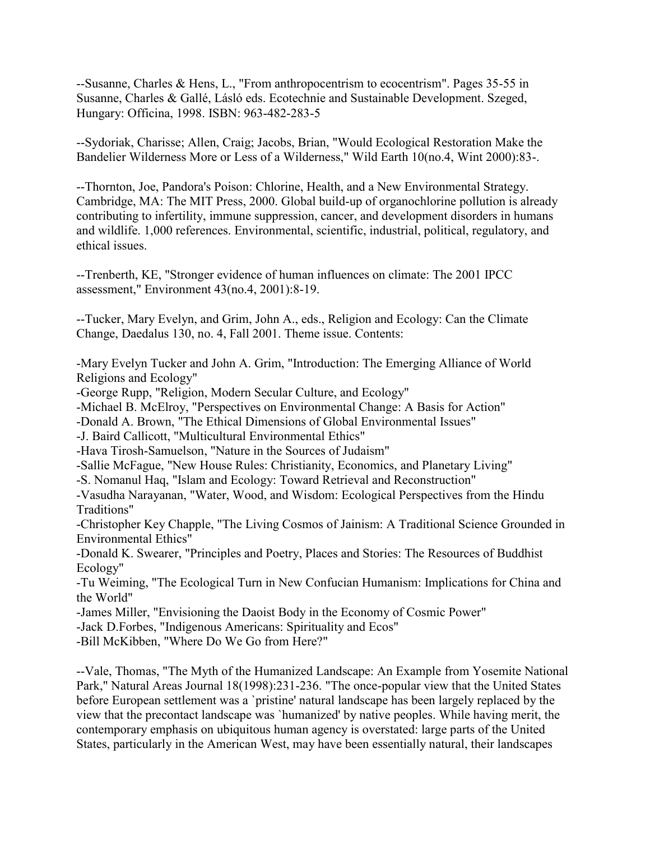--Susanne, Charles & Hens, L., "From anthropocentrism to ecocentrism". Pages 35-55 in Susanne, Charles & Gallé, Lásló eds. Ecotechnie and Sustainable Development. Szeged, Hungary: Officina, 1998. ISBN: 963-482-283-5

--Sydoriak, Charisse; Allen, Craig; Jacobs, Brian, "Would Ecological Restoration Make the Bandelier Wilderness More or Less of a Wilderness," Wild Earth 10(no.4, Wint 2000):83-.

--Thornton, Joe, Pandora's Poison: Chlorine, Health, and a New Environmental Strategy. Cambridge, MA: The MIT Press, 2000. Global build-up of organochlorine pollution is already contributing to infertility, immune suppression, cancer, and development disorders in humans and wildlife. 1,000 references. Environmental, scientific, industrial, political, regulatory, and ethical issues.

--Trenberth, KE, "Stronger evidence of human influences on climate: The 2001 IPCC assessment," Environment 43(no.4, 2001):8-19.

--Tucker, Mary Evelyn, and Grim, John A., eds., Religion and Ecology: Can the Climate Change, Daedalus 130, no. 4, Fall 2001. Theme issue. Contents:

-Mary Evelyn Tucker and John A. Grim, "Introduction: The Emerging Alliance of World Religions and Ecology"

-George Rupp, "Religion, Modern Secular Culture, and Ecology"

-Michael B. McElroy, "Perspectives on Environmental Change: A Basis for Action"

-Donald A. Brown, "The Ethical Dimensions of Global Environmental Issues"

-J. Baird Callicott, "Multicultural Environmental Ethics"

-Hava Tirosh-Samuelson, "Nature in the Sources of Judaism"

-Sallie McFague, "New House Rules: Christianity, Economics, and Planetary Living"

-S. Nomanul Haq, "Islam and Ecology: Toward Retrieval and Reconstruction"

-Vasudha Narayanan, "Water, Wood, and Wisdom: Ecological Perspectives from the Hindu Traditions"

-Christopher Key Chapple, "The Living Cosmos of Jainism: A Traditional Science Grounded in Environmental Ethics"

-Donald K. Swearer, "Principles and Poetry, Places and Stories: The Resources of Buddhist Ecology"

-Tu Weiming, "The Ecological Turn in New Confucian Humanism: Implications for China and the World"

-James Miller, "Envisioning the Daoist Body in the Economy of Cosmic Power"

-Jack D.Forbes, "Indigenous Americans: Spirituality and Ecos"

-Bill McKibben, "Where Do We Go from Here?"

--Vale, Thomas, "The Myth of the Humanized Landscape: An Example from Yosemite National Park," Natural Areas Journal 18(1998):231-236. "The once-popular view that the United States before European settlement was a `pristine' natural landscape has been largely replaced by the view that the precontact landscape was `humanized' by native peoples. While having merit, the contemporary emphasis on ubiquitous human agency is overstated: large parts of the United States, particularly in the American West, may have been essentially natural, their landscapes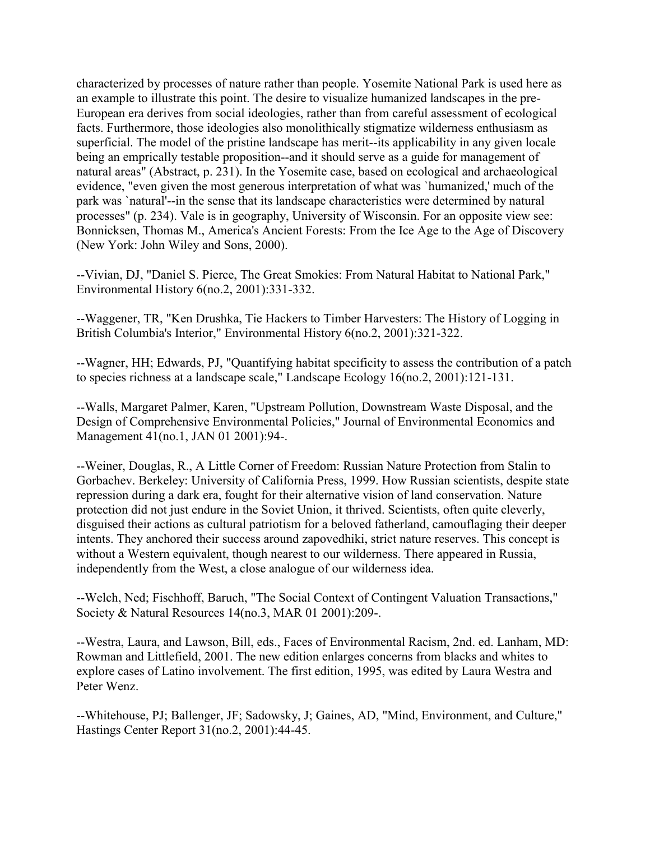characterized by processes of nature rather than people. Yosemite National Park is used here as an example to illustrate this point. The desire to visualize humanized landscapes in the pre-European era derives from social ideologies, rather than from careful assessment of ecological facts. Furthermore, those ideologies also monolithically stigmatize wilderness enthusiasm as superficial. The model of the pristine landscape has merit--its applicability in any given locale being an emprically testable proposition--and it should serve as a guide for management of natural areas" (Abstract, p. 231). In the Yosemite case, based on ecological and archaeological evidence, "even given the most generous interpretation of what was `humanized,' much of the park was `natural'--in the sense that its landscape characteristics were determined by natural processes" (p. 234). Vale is in geography, University of Wisconsin. For an opposite view see: Bonnicksen, Thomas M., America's Ancient Forests: From the Ice Age to the Age of Discovery (New York: John Wiley and Sons, 2000).

--Vivian, DJ, "Daniel S. Pierce, The Great Smokies: From Natural Habitat to National Park," Environmental History 6(no.2, 2001):331-332.

--Waggener, TR, "Ken Drushka, Tie Hackers to Timber Harvesters: The History of Logging in British Columbia's Interior," Environmental History 6(no.2, 2001):321-322.

--Wagner, HH; Edwards, PJ, "Quantifying habitat specificity to assess the contribution of a patch to species richness at a landscape scale," Landscape Ecology 16(no.2, 2001):121-131.

--Walls, Margaret Palmer, Karen, "Upstream Pollution, Downstream Waste Disposal, and the Design of Comprehensive Environmental Policies," Journal of Environmental Economics and Management 41(no.1, JAN 01 2001):94-.

--Weiner, Douglas, R., A Little Corner of Freedom: Russian Nature Protection from Stalin to Gorbachev. Berkeley: University of California Press, 1999. How Russian scientists, despite state repression during a dark era, fought for their alternative vision of land conservation. Nature protection did not just endure in the Soviet Union, it thrived. Scientists, often quite cleverly, disguised their actions as cultural patriotism for a beloved fatherland, camouflaging their deeper intents. They anchored their success around zapovedhiki, strict nature reserves. This concept is without a Western equivalent, though nearest to our wilderness. There appeared in Russia, independently from the West, a close analogue of our wilderness idea.

--Welch, Ned; Fischhoff, Baruch, "The Social Context of Contingent Valuation Transactions," Society & Natural Resources 14(no.3, MAR 01 2001):209-.

--Westra, Laura, and Lawson, Bill, eds., Faces of Environmental Racism, 2nd. ed. Lanham, MD: Rowman and Littlefield, 2001. The new edition enlarges concerns from blacks and whites to explore cases of Latino involvement. The first edition, 1995, was edited by Laura Westra and Peter Wenz.

--Whitehouse, PJ; Ballenger, JF; Sadowsky, J; Gaines, AD, "Mind, Environment, and Culture," Hastings Center Report 31(no.2, 2001):44-45.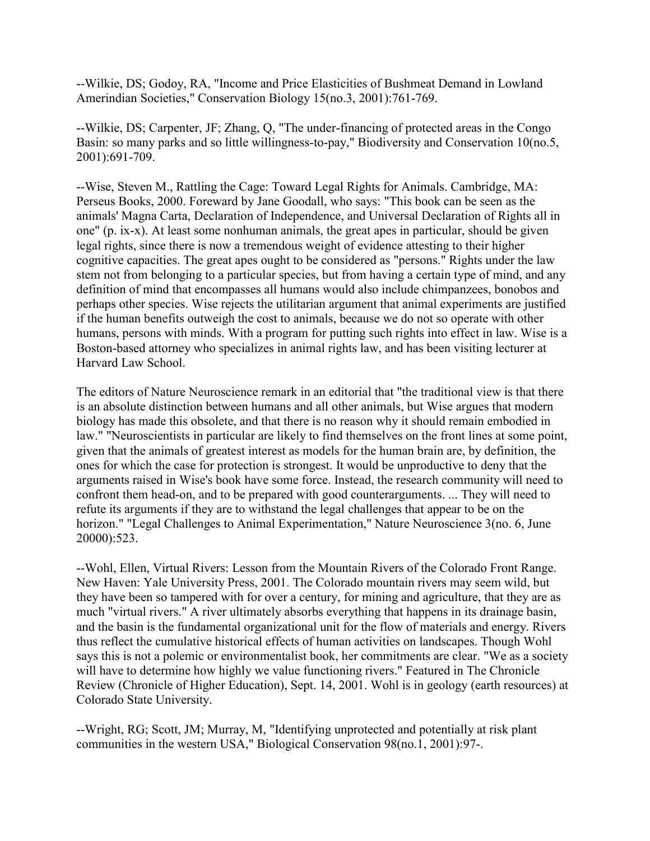--Wilkie, DS; Godoy, RA, "Income and Price Elasticities of Bushmeat Demand in Lowland Amerindian Societies," Conservation Biology 15(no.3, 2001):761-769.

--Wilkie, DS; Carpenter, JF; Zhang, Q, "The under-financing of protected areas in the Congo Basin: so many parks and so little willingness-to-pay," Biodiversity and Conservation 10(no.5, 2001):691-709.

--Wise, Steven M., Rattling the Cage: Toward Legal Rights for Animals. Cambridge, MA: Perseus Books, 2000. Foreward by Jane Goodall, who says: "This book can be seen as the animals' Magna Carta, Declaration of Independence, and Universal Declaration of Rights all in one" (p. ix-x). At least some nonhuman animals, the great apes in particular, should be given legal rights, since there is now a tremendous weight of evidence attesting to their higher cognitive capacities. The great apes ought to be considered as "persons." Rights under the law stem not from belonging to a particular species, but from having a certain type of mind, and any definition of mind that encompasses all humans would also include chimpanzees, bonobos and perhaps other species. Wise rejects the utilitarian argument that animal experiments are justified if the human benefits outweigh the cost to animals, because we do not so operate with other humans, persons with minds. With a program for putting such rights into effect in law. Wise is a Boston-based attorney who specializes in animal rights law, and has been visiting lecturer at Harvard Law School.

The editors of Nature Neuroscience remark in an editorial that "the traditional view is that there is an absolute distinction between humans and all other animals, but Wise argues that modern biology has made this obsolete, and that there is no reason why it should remain embodied in law." "Neuroscientists in particular are likely to find themselves on the front lines at some point, given that the animals of greatest interest as models for the human brain are, by definition, the ones for which the case for protection is strongest. It would be unproductive to deny that the arguments raised in Wise's book have some force. Instead, the research community will need to confront them head-on, and to be prepared with good counterarguments. ... They will need to refute its arguments if they are to withstand the legal challenges that appear to be on the horizon." "Legal Challenges to Animal Experimentation," Nature Neuroscience 3(no. 6, June 20000):523.

--Wohl, Ellen, Virtual Rivers: Lesson from the Mountain Rivers of the Colorado Front Range. New Haven: Yale University Press, 2001. The Colorado mountain rivers may seem wild, but they have been so tampered with for over a century, for mining and agriculture, that they are as much "virtual rivers." A river ultimately absorbs everything that happens in its drainage basin, and the basin is the fundamental organizational unit for the flow of materials and energy. Rivers thus reflect the cumulative historical effects of human activities on landscapes. Though Wohl says this is not a polemic or environmentalist book, her commitments are clear. "We as a society will have to determine how highly we value functioning rivers." Featured in The Chronicle Review (Chronicle of Higher Education), Sept. 14, 2001. Wohl is in geology (earth resources) at Colorado State University.

--Wright, RG; Scott, JM; Murray, M, "Identifying unprotected and potentially at risk plant communities in the western USA," Biological Conservation 98(no.1, 2001):97-.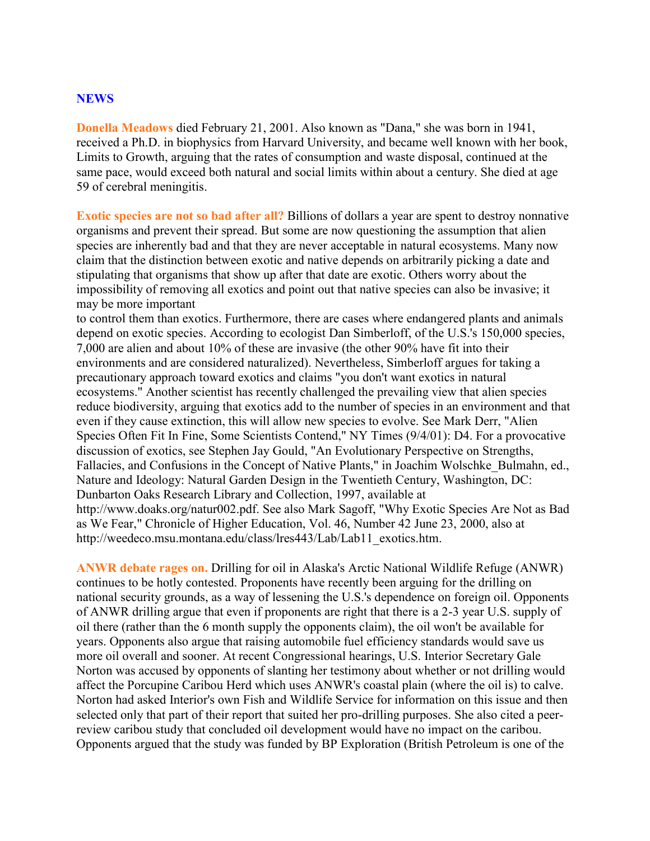#### **NEWS**

**Donella Meadows** died February 21, 2001. Also known as "Dana," she was born in 1941, received a Ph.D. in biophysics from Harvard University, and became well known with her book, Limits to Growth, arguing that the rates of consumption and waste disposal, continued at the same pace, would exceed both natural and social limits within about a century. She died at age 59 of cerebral meningitis.

**Exotic species are not so bad after all?** Billions of dollars a year are spent to destroy nonnative organisms and prevent their spread. But some are now questioning the assumption that alien species are inherently bad and that they are never acceptable in natural ecosystems. Many now claim that the distinction between exotic and native depends on arbitrarily picking a date and stipulating that organisms that show up after that date are exotic. Others worry about the impossibility of removing all exotics and point out that native species can also be invasive; it may be more important

to control them than exotics. Furthermore, there are cases where endangered plants and animals depend on exotic species. According to ecologist Dan Simberloff, of the U.S.'s 150,000 species, 7,000 are alien and about 10% of these are invasive (the other 90% have fit into their environments and are considered naturalized). Nevertheless, Simberloff argues for taking a precautionary approach toward exotics and claims "you don't want exotics in natural ecosystems." Another scientist has recently challenged the prevailing view that alien species reduce biodiversity, arguing that exotics add to the number of species in an environment and that even if they cause extinction, this will allow new species to evolve. See Mark Derr, "Alien Species Often Fit In Fine, Some Scientists Contend," NY Times (9/4/01): D4. For a provocative discussion of exotics, see Stephen Jay Gould, "An Evolutionary Perspective on Strengths, Fallacies, and Confusions in the Concept of Native Plants," in Joachim Wolschke Bulmahn, ed., Nature and Ideology: Natural Garden Design in the Twentieth Century, Washington, DC: Dunbarton Oaks Research Library and Collection, 1997, available at http://www.doaks.org/natur002.pdf. See also Mark Sagoff, "Why Exotic Species Are Not as Bad as We Fear," Chronicle of Higher Education, Vol. 46, Number 42 June 23, 2000, also at http://weedeco.msu.montana.edu/class/lres443/Lab/Lab11\_exotics.htm.

**ANWR debate rages on.** Drilling for oil in Alaska's Arctic National Wildlife Refuge (ANWR) continues to be hotly contested. Proponents have recently been arguing for the drilling on national security grounds, as a way of lessening the U.S.'s dependence on foreign oil. Opponents of ANWR drilling argue that even if proponents are right that there is a 2-3 year U.S. supply of oil there (rather than the 6 month supply the opponents claim), the oil won't be available for years. Opponents also argue that raising automobile fuel efficiency standards would save us more oil overall and sooner. At recent Congressional hearings, U.S. Interior Secretary Gale Norton was accused by opponents of slanting her testimony about whether or not drilling would affect the Porcupine Caribou Herd which uses ANWR's coastal plain (where the oil is) to calve. Norton had asked Interior's own Fish and Wildlife Service for information on this issue and then selected only that part of their report that suited her pro-drilling purposes. She also cited a peerreview caribou study that concluded oil development would have no impact on the caribou. Opponents argued that the study was funded by BP Exploration (British Petroleum is one of the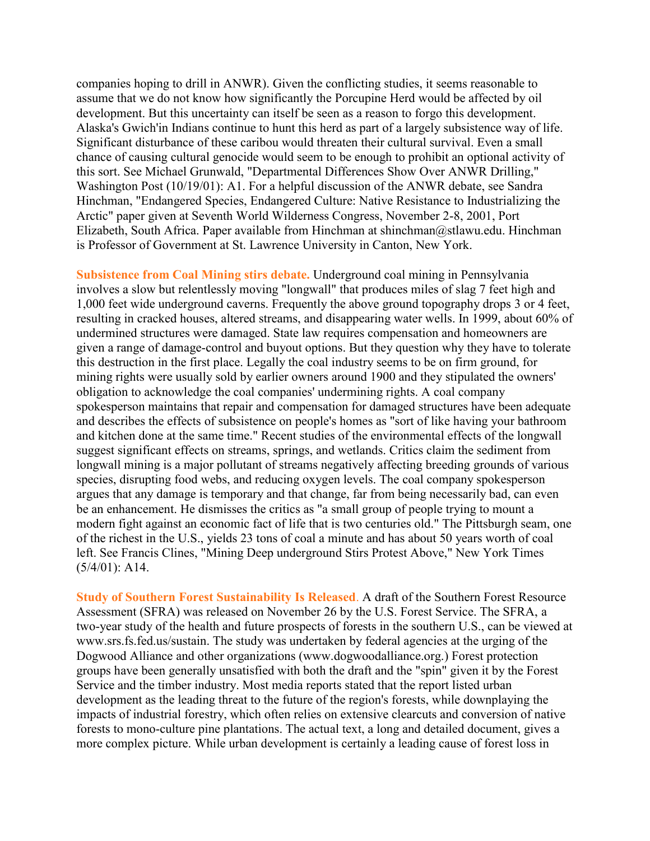companies hoping to drill in ANWR). Given the conflicting studies, it seems reasonable to assume that we do not know how significantly the Porcupine Herd would be affected by oil development. But this uncertainty can itself be seen as a reason to forgo this development. Alaska's Gwich'in Indians continue to hunt this herd as part of a largely subsistence way of life. Significant disturbance of these caribou would threaten their cultural survival. Even a small chance of causing cultural genocide would seem to be enough to prohibit an optional activity of this sort. See Michael Grunwald, "Departmental Differences Show Over ANWR Drilling," Washington Post (10/19/01): A1. For a helpful discussion of the ANWR debate, see Sandra Hinchman, "Endangered Species, Endangered Culture: Native Resistance to Industrializing the Arctic" paper given at Seventh World Wilderness Congress, November 2-8, 2001, Port Elizabeth, South Africa. Paper available from Hinchman at shinchman@stlawu.edu. Hinchman is Professor of Government at St. Lawrence University in Canton, New York.

**Subsistence from Coal Mining stirs debate.** Underground coal mining in Pennsylvania involves a slow but relentlessly moving "longwall" that produces miles of slag 7 feet high and 1,000 feet wide underground caverns. Frequently the above ground topography drops 3 or 4 feet, resulting in cracked houses, altered streams, and disappearing water wells. In 1999, about 60% of undermined structures were damaged. State law requires compensation and homeowners are given a range of damage-control and buyout options. But they question why they have to tolerate this destruction in the first place. Legally the coal industry seems to be on firm ground, for mining rights were usually sold by earlier owners around 1900 and they stipulated the owners' obligation to acknowledge the coal companies' undermining rights. A coal company spokesperson maintains that repair and compensation for damaged structures have been adequate and describes the effects of subsistence on people's homes as "sort of like having your bathroom and kitchen done at the same time." Recent studies of the environmental effects of the longwall suggest significant effects on streams, springs, and wetlands. Critics claim the sediment from longwall mining is a major pollutant of streams negatively affecting breeding grounds of various species, disrupting food webs, and reducing oxygen levels. The coal company spokesperson argues that any damage is temporary and that change, far from being necessarily bad, can even be an enhancement. He dismisses the critics as "a small group of people trying to mount a modern fight against an economic fact of life that is two centuries old." The Pittsburgh seam, one of the richest in the U.S., yields 23 tons of coal a minute and has about 50 years worth of coal left. See Francis Clines, "Mining Deep underground Stirs Protest Above," New York Times (5/4/01): A14.

**Study of Southern Forest Sustainability Is Released**. A draft of the Southern Forest Resource Assessment (SFRA) was released on November 26 by the U.S. Forest Service. The SFRA, a two-year study of the health and future prospects of forests in the southern U.S., can be viewed at www.srs.fs.fed.us/sustain. The study was undertaken by federal agencies at the urging of the Dogwood Alliance and other organizations (www.dogwoodalliance.org.) Forest protection groups have been generally unsatisfied with both the draft and the "spin" given it by the Forest Service and the timber industry. Most media reports stated that the report listed urban development as the leading threat to the future of the region's forests, while downplaying the impacts of industrial forestry, which often relies on extensive clearcuts and conversion of native forests to mono-culture pine plantations. The actual text, a long and detailed document, gives a more complex picture. While urban development is certainly a leading cause of forest loss in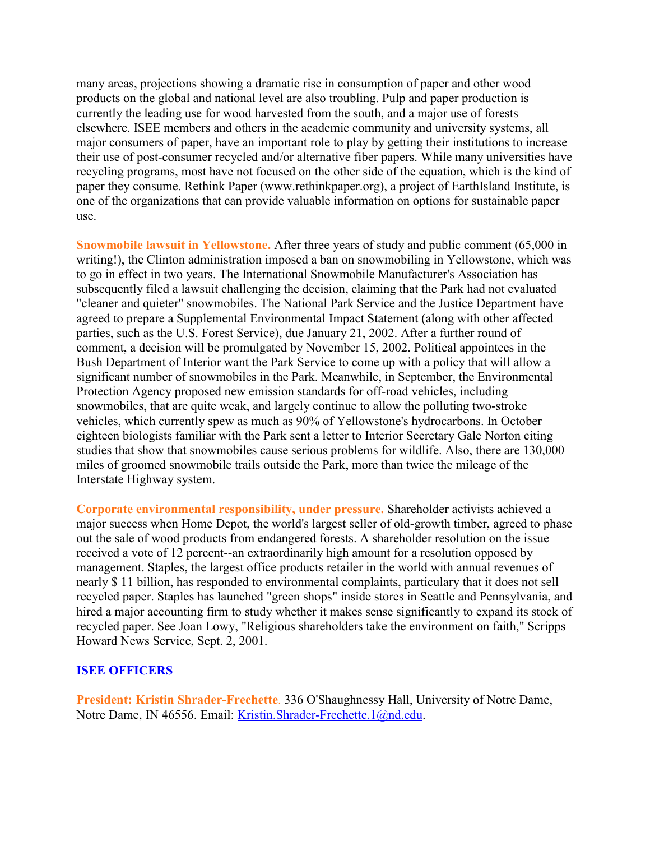many areas, projections showing a dramatic rise in consumption of paper and other wood products on the global and national level are also troubling. Pulp and paper production is currently the leading use for wood harvested from the south, and a major use of forests elsewhere. ISEE members and others in the academic community and university systems, all major consumers of paper, have an important role to play by getting their institutions to increase their use of post-consumer recycled and/or alternative fiber papers. While many universities have recycling programs, most have not focused on the other side of the equation, which is the kind of paper they consume. Rethink Paper (www.rethinkpaper.org), a project of EarthIsland Institute, is one of the organizations that can provide valuable information on options for sustainable paper use.

**Snowmobile lawsuit in Yellowstone.** After three years of study and public comment (65,000 in writing!), the Clinton administration imposed a ban on snowmobiling in Yellowstone, which was to go in effect in two years. The International Snowmobile Manufacturer's Association has subsequently filed a lawsuit challenging the decision, claiming that the Park had not evaluated "cleaner and quieter" snowmobiles. The National Park Service and the Justice Department have agreed to prepare a Supplemental Environmental Impact Statement (along with other affected parties, such as the U.S. Forest Service), due January 21, 2002. After a further round of comment, a decision will be promulgated by November 15, 2002. Political appointees in the Bush Department of Interior want the Park Service to come up with a policy that will allow a significant number of snowmobiles in the Park. Meanwhile, in September, the Environmental Protection Agency proposed new emission standards for off-road vehicles, including snowmobiles, that are quite weak, and largely continue to allow the polluting two-stroke vehicles, which currently spew as much as 90% of Yellowstone's hydrocarbons. In October eighteen biologists familiar with the Park sent a letter to Interior Secretary Gale Norton citing studies that show that snowmobiles cause serious problems for wildlife. Also, there are 130,000 miles of groomed snowmobile trails outside the Park, more than twice the mileage of the Interstate Highway system.

**Corporate environmental responsibility, under pressure.** Shareholder activists achieved a major success when Home Depot, the world's largest seller of old-growth timber, agreed to phase out the sale of wood products from endangered forests. A shareholder resolution on the issue received a vote of 12 percent--an extraordinarily high amount for a resolution opposed by management. Staples, the largest office products retailer in the world with annual revenues of nearly \$ 11 billion, has responded to environmental complaints, particulary that it does not sell recycled paper. Staples has launched "green shops" inside stores in Seattle and Pennsylvania, and hired a major accounting firm to study whether it makes sense significantly to expand its stock of recycled paper. See Joan Lowy, "Religious shareholders take the environment on faith," Scripps Howard News Service, Sept. 2, 2001.

# **ISEE OFFICERS**

**President: Kristin Shrader-Frechette**. 336 O'Shaughnessy Hall, University of Notre Dame, Notre Dame, IN 46556. Email: [Kristin.Shrader-Frechette.1@nd.edu.](mailto:Kristin.Shrader-Frechette.1@nd.edu)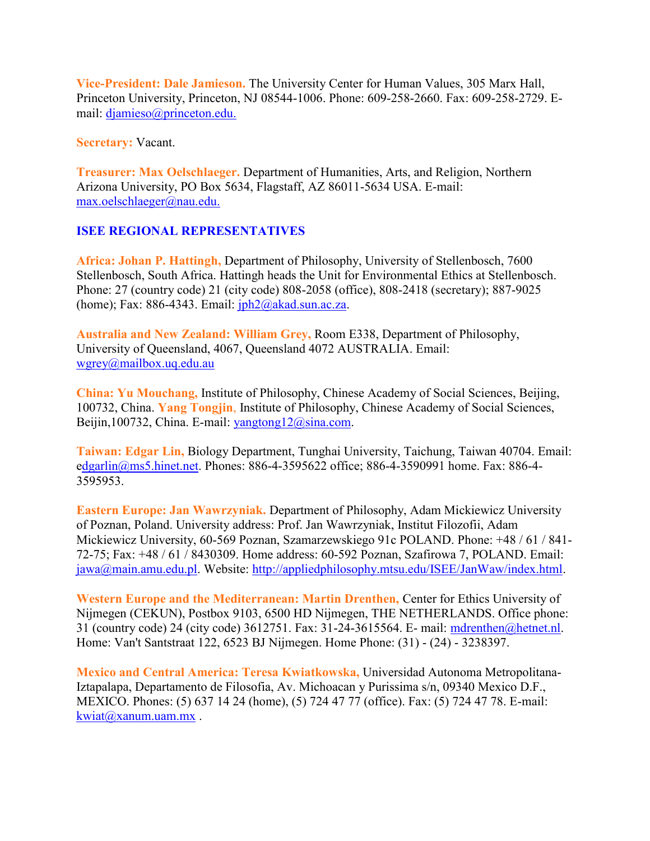**Vice-President: Dale Jamieson.** The University Center for Human Values, 305 Marx Hall, Princeton University, Princeton, NJ 08544-1006. Phone: 609-258-2660. Fax: 609-258-2729. Email: [djamieso@princeton.edu.](mailto:djamieso@princeton.edu.)

**Secretary:** Vacant.

**Treasurer: Max Oelschlaeger.** Department of Humanities, Arts, and Religion, Northern Arizona University, PO Box 5634, Flagstaff, AZ 86011-5634 USA. E-mail: [max.oelschlaeger@nau.edu.](mailto:max.oelschlaeger@nau.edu.)

# **ISEE REGIONAL REPRESENTATIVES**

**Africa: Johan P. Hattingh,** Department of Philosophy, University of Stellenbosch, 7600 Stellenbosch, South Africa. Hattingh heads the Unit for Environmental Ethics at Stellenbosch. Phone: 27 (country code) 21 (city code) 808-2058 (office), 808-2418 (secretary); 887-9025 (home); Fax: 886-4343. Email:  $iph2@akad.sum.ac.za$ .

**Australia and New Zealand: William Grey,** Room E338, Department of Philosophy, University of Queensland, 4067, Queensland 4072 AUSTRALIA. Email: [wgrey@mailbox.uq.edu.au](mailto:wgrey@mailbox.uq.edu.au)

**China: Yu Mouchang,** Institute of Philosophy, Chinese Academy of Social Sciences, Beijing, 100732, China. **Yang Tongjin**, Institute of Philosophy, Chinese Academy of Social Sciences, Beijin,100732, China. E-mail: [yangtong12@sina.com.](mailto:yangtong12@sina.com)

**Taiwan: Edgar Lin,** Biology Department, Tunghai University, Taichung, Taiwan 40704. Email: [edgarlin@ms5.hinet.net.](mailto:dgarlin@ms5.hinet.net) Phones: 886-4-3595622 office; 886-4-3590991 home. Fax: 886-4- 3595953.

**Eastern Europe: Jan Wawrzyniak.** Department of Philosophy, Adam Mickiewicz University of Poznan, Poland. University address: Prof. Jan Wawrzyniak, Institut Filozofii, Adam Mickiewicz University, 60-569 Poznan, Szamarzewskiego 91c POLAND. Phone: +48 / 61 / 841- 72-75; Fax: +48 / 61 / 8430309. Home address: 60-592 Poznan, Szafirowa 7, POLAND. Email: [jawa@main.amu.edu.pl.](mailto:jawa@main.amu.edu.pl) Website: [http://appliedphilosophy.mtsu.edu/ISEE/JanWaw/index.html.](http://appliedphilosophy.mtsu.edu/ISEE/JanWaw/index.html)

**Western Europe and the Mediterranean: Martin Drenthen,** Center for Ethics University of Nijmegen (CEKUN), Postbox 9103, 6500 HD Nijmegen, THE NETHERLANDS. Office phone: 31 (country code) 24 (city code) 3612751. Fax: 31-24-3615564. E- mail: [mdrenthen@hetnet.nl.](http://www.cep.unt.edu/ISEE/mdrenthen@hetnet.nl) Home: Van't Santstraat 122, 6523 BJ Nijmegen. Home Phone: (31) - (24) - 3238397.

**Mexico and Central America: Teresa Kwiatkowska,** Universidad Autonoma Metropolitana-Iztapalapa, Departamento de Filosofia, Av. Michoacan y Purissima s/n, 09340 Mexico D.F., MEXICO. Phones: (5) 637 14 24 (home), (5) 724 47 77 (office). Fax: (5) 724 47 78. E-mail: [kwiat@xanum.uam.mx](mailto:kwiat@xanum.uam.mx) .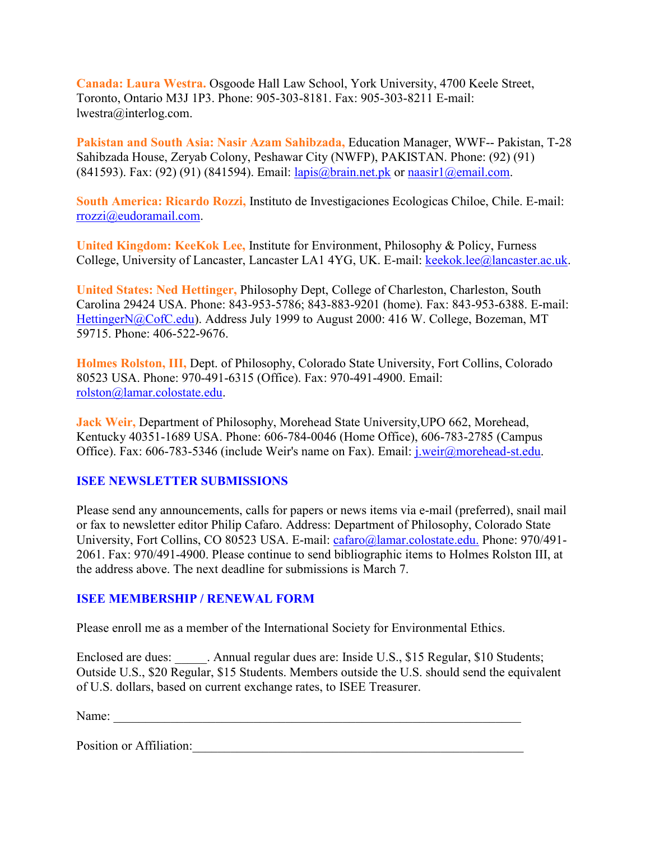**Canada: Laura Westra.** Osgoode Hall Law School, York University, 4700 Keele Street, Toronto, Ontario M3J 1P3. Phone: 905-303-8181. Fax: 905-303-8211 E-mail: lwestra@interlog.com.

**Pakistan and South Asia: Nasir Azam Sahibzada,** Education Manager, WWF-- Pakistan, T-28 Sahibzada House, Zeryab Colony, Peshawar City (NWFP), PAKISTAN. Phone: (92) (91) (841593). Fax: (92) (91) (841594). Email:  $l$ apis@brain.net.pk or naasir $l$ @email.com.

**South America: Ricardo Rozzi,** Instituto de Investigaciones Ecologicas Chiloe, Chile. E-mail: [rrozzi@eudoramail.com.](mailto:rrozzi@eudoramail.com)

**United Kingdom: KeeKok Lee,** Institute for Environment, Philosophy & Policy, Furness College, University of Lancaster, Lancaster LA1 4YG, UK. E-mail: [keekok.lee@lancaster.ac.uk.](mailto:keekok.lee@lancaster.ac.uk)

**United States: Ned Hettinger,** Philosophy Dept, College of Charleston, Charleston, South Carolina 29424 USA. Phone: 843-953-5786; 843-883-9201 (home). Fax: 843-953-6388. E-mail: [HettingerN@CofC.edu\)](mailto:HettingerN@CofC.edu). Address July 1999 to August 2000: 416 W. College, Bozeman, MT 59715. Phone: 406-522-9676.

**Holmes Rolston, III,** Dept. of Philosophy, Colorado State University, Fort Collins, Colorado 80523 USA. Phone: 970-491-6315 (Office). Fax: 970-491-4900. Email: [rolston@lamar.colostate.edu.](mailto:rolston@lamar.colostate.edu)

**Jack Weir,** Department of Philosophy, Morehead State University,UPO 662, Morehead, Kentucky 40351-1689 USA. Phone: 606-784-0046 (Home Office), 606-783-2785 (Campus Office). Fax: 606-783-5346 (include Weir's name on Fax). Email: [j.weir@morehead-st.edu.](mailto:j.weir@morehead-st.edu)

# **ISEE NEWSLETTER SUBMISSIONS**

Please send any announcements, calls for papers or news items via e-mail (preferred), snail mail or fax to newsletter editor Philip Cafaro. Address: Department of Philosophy, Colorado State University, Fort Collins, CO 80523 USA. E-mail: [cafaro@lamar.colostate.edu.](mailto:cafaro@lamar.colostate.edu.) Phone: 970/491- 2061. Fax: 970/491-4900. Please continue to send bibliographic items to Holmes Rolston III, at the address above. The next deadline for submissions is March 7.

# **ISEE MEMBERSHIP / RENEWAL FORM**

Please enroll me as a member of the International Society for Environmental Ethics.

Enclosed are dues: Annual regular dues are: Inside U.S., \$15 Regular, \$10 Students; Outside U.S., \$20 Regular, \$15 Students. Members outside the U.S. should send the equivalent of U.S. dollars, based on current exchange rates, to ISEE Treasurer.

Name: \_\_\_\_\_\_\_\_\_\_\_\_\_\_\_\_\_\_\_\_\_\_\_\_\_\_\_\_\_\_\_\_\_\_\_\_\_\_\_\_\_\_\_\_\_\_\_\_\_\_\_\_\_\_\_\_\_\_\_\_\_\_\_\_

Position or Affiliation: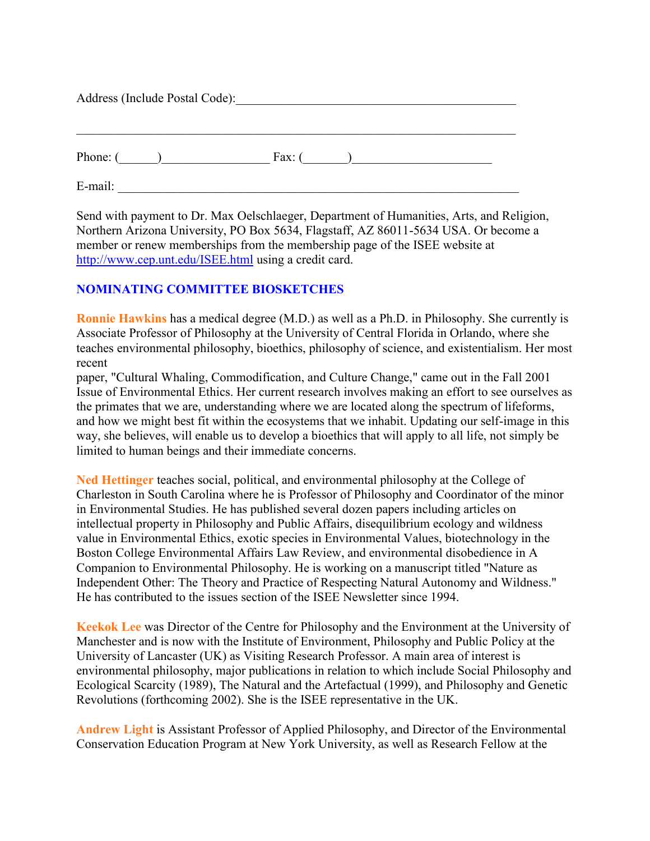| Address (Include Postal Code): |               |  |
|--------------------------------|---------------|--|
| Phone: $($ $)$                 | Fax: $(\_\_)$ |  |
| E-mail:                        |               |  |

Send with payment to Dr. Max Oelschlaeger, Department of Humanities, Arts, and Religion, Northern Arizona University, PO Box 5634, Flagstaff, AZ 86011-5634 USA. Or become a member or renew memberships from the membership page of the ISEE website at <http://www.cep.unt.edu/ISEE.html> using a credit card.

# **NOMINATING COMMITTEE BIOSKETCHES**

**Ronnie Hawkins** has a medical degree (M.D.) as well as a Ph.D. in Philosophy. She currently is Associate Professor of Philosophy at the University of Central Florida in Orlando, where she teaches environmental philosophy, bioethics, philosophy of science, and existentialism. Her most recent

paper, "Cultural Whaling, Commodification, and Culture Change," came out in the Fall 2001 Issue of Environmental Ethics. Her current research involves making an effort to see ourselves as the primates that we are, understanding where we are located along the spectrum of lifeforms, and how we might best fit within the ecosystems that we inhabit. Updating our self-image in this way, she believes, will enable us to develop a bioethics that will apply to all life, not simply be limited to human beings and their immediate concerns.

**Ned Hettinger** teaches social, political, and environmental philosophy at the College of Charleston in South Carolina where he is Professor of Philosophy and Coordinator of the minor in Environmental Studies. He has published several dozen papers including articles on intellectual property in Philosophy and Public Affairs, disequilibrium ecology and wildness value in Environmental Ethics, exotic species in Environmental Values, biotechnology in the Boston College Environmental Affairs Law Review, and environmental disobedience in A Companion to Environmental Philosophy. He is working on a manuscript titled "Nature as Independent Other: The Theory and Practice of Respecting Natural Autonomy and Wildness." He has contributed to the issues section of the ISEE Newsletter since 1994.

**Keekok Lee** was Director of the Centre for Philosophy and the Environment at the University of Manchester and is now with the Institute of Environment, Philosophy and Public Policy at the University of Lancaster (UK) as Visiting Research Professor. A main area of interest is environmental philosophy, major publications in relation to which include Social Philosophy and Ecological Scarcity (1989), The Natural and the Artefactual (1999), and Philosophy and Genetic Revolutions (forthcoming 2002). She is the ISEE representative in the UK.

**Andrew Light** is Assistant Professor of Applied Philosophy, and Director of the Environmental Conservation Education Program at New York University, as well as Research Fellow at the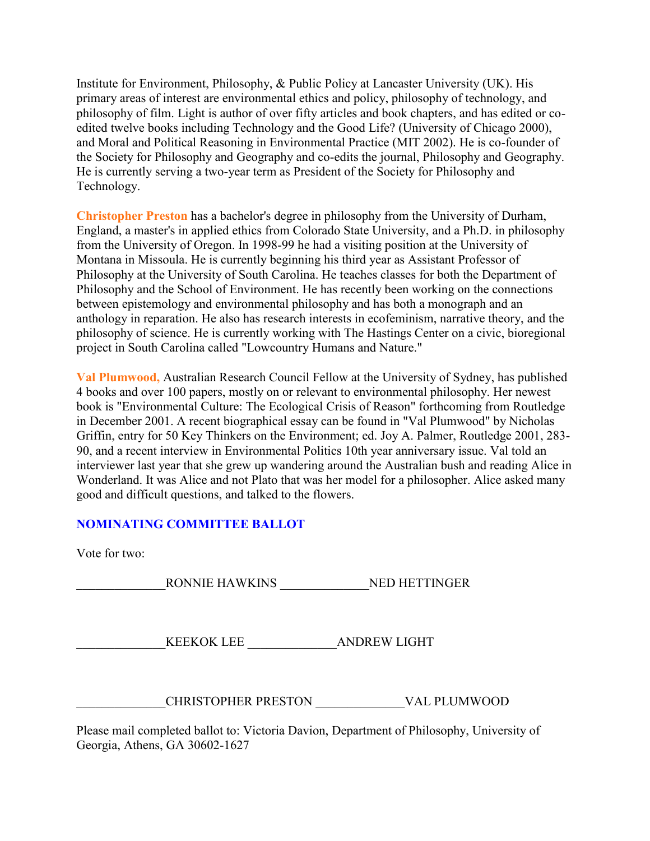Institute for Environment, Philosophy, & Public Policy at Lancaster University (UK). His primary areas of interest are environmental ethics and policy, philosophy of technology, and philosophy of film. Light is author of over fifty articles and book chapters, and has edited or coedited twelve books including Technology and the Good Life? (University of Chicago 2000), and Moral and Political Reasoning in Environmental Practice (MIT 2002). He is co-founder of the Society for Philosophy and Geography and co-edits the journal, Philosophy and Geography. He is currently serving a two-year term as President of the Society for Philosophy and Technology.

**Christopher Preston** has a bachelor's degree in philosophy from the University of Durham, England, a master's in applied ethics from Colorado State University, and a Ph.D. in philosophy from the University of Oregon. In 1998-99 he had a visiting position at the University of Montana in Missoula. He is currently beginning his third year as Assistant Professor of Philosophy at the University of South Carolina. He teaches classes for both the Department of Philosophy and the School of Environment. He has recently been working on the connections between epistemology and environmental philosophy and has both a monograph and an anthology in reparation. He also has research interests in ecofeminism, narrative theory, and the philosophy of science. He is currently working with The Hastings Center on a civic, bioregional project in South Carolina called "Lowcountry Humans and Nature."

**Val Plumwood,** Australian Research Council Fellow at the University of Sydney, has published 4 books and over 100 papers, mostly on or relevant to environmental philosophy. Her newest book is "Environmental Culture: The Ecological Crisis of Reason" forthcoming from Routledge in December 2001. A recent biographical essay can be found in "Val Plumwood" by Nicholas Griffin, entry for 50 Key Thinkers on the Environment; ed. Joy A. Palmer, Routledge 2001, 283- 90, and a recent interview in Environmental Politics 10th year anniversary issue. Val told an interviewer last year that she grew up wandering around the Australian bush and reading Alice in Wonderland. It was Alice and not Plato that was her model for a philosopher. Alice asked many good and difficult questions, and talked to the flowers.

# **NOMINATING COMMITTEE BALLOT**

Vote for two:

\_\_\_\_\_\_\_\_\_\_\_\_\_\_RONNIE HAWKINS \_\_\_\_\_\_\_\_\_\_\_\_\_\_NED HETTINGER

KEEKOK LEE ANDREW LIGHT

\_\_\_\_\_\_\_\_\_\_\_\_\_\_CHRISTOPHER PRESTON \_\_\_\_\_\_\_\_\_\_\_\_\_\_VAL PLUMWOOD

Please mail completed ballot to: Victoria Davion, Department of Philosophy, University of Georgia, Athens, GA 30602-1627